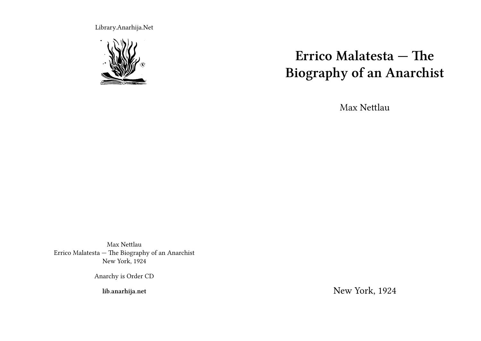Library.Anarhija.Net



# **Errico Malatesta — The Biography of an Anarchist**

Max Nettlau

Max Nettlau Errico Malatesta — The Biography of an Anarchist New York, 1924

Anarchy is Order CD

**lib.anarhija.net**

New York, 1924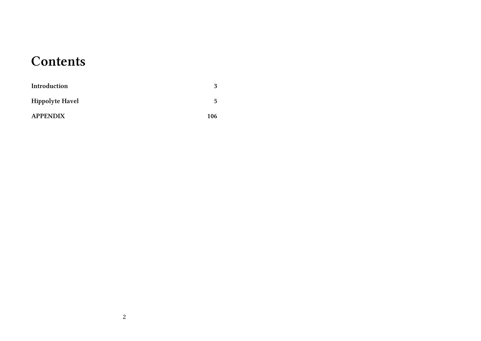## **Contents**

| Introduction           | 3   |
|------------------------|-----|
| <b>Hippolyte Havel</b> | 5   |
| <b>APPENDIX</b>        | 106 |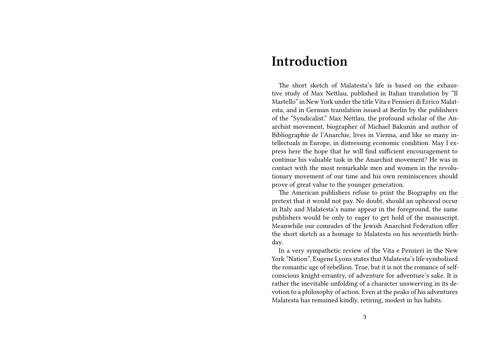#### **Introduction**

The short sketch of Malatesta's life is based on the exhaustive study of Max Nettlau, published in Italian translation by "Il Martello" in New York under the title Vita e Pensieri di Errico Malatesta, and in German translation issued at Berlin by the publishers of the "Syndicalist." Max Nettlau, the profound scholar of the Anarchist movement, biographer of Michael Bakunin and author of Bibliographie de l'Anarchie, lives in Vienna, and like so many intellectuals in Europe, in distressing economic condition. May I express here the hope that he will find sufficient encouragement to continue his valuable task in the Anarchist movement? He was in contact with the most remarkable men and women in the revolutionary movement of our time and his own reminiscences should prove of great value to the younger generation.

The American publishers refuse to print the Biography on the pretext that it would not pay. No doubt, should an upheaval occur in Italy and Malatesta's name appear in the foreground, the same publishers would be only to eager to get hold of the manuscript. Meanwhile our comrades of the Jewish Anarchist Federation offer the short sketch as a homage to Malatesta on his seventieth birthday.

In a very sympathetic review of the Vita e Pensieri in the New York "Nation", Eugene Lyons states that Malatesta's life symbolized the romantic age of rebellion. True, but it is not the romance of selfconscious knight-errantry, of adventure for adventure's sake. It is rather the inevitable unfolding of a character unswerving in its devotion to a philosophy of action. Even at the peaks of his adventures Malatesta has remained kindly, retiring, modest in his habits.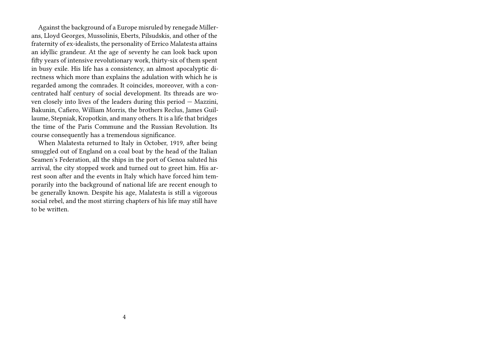Against the background of a Europe misruled by renegade Millerans, Lloyd Georges, Mussolinis, Eberts, Pilsudskis, and other of the fraternity of ex-idealists, the personality of Errico Malatesta attains an idyllic grandeur. At the age of seventy he can look back upon fifty years of intensive revolutionary work, thirty-six of them spent in busy exile. His life has a consistency, an almost apocalyptic directness which more than explains the adulation with which he is regarded among the comrades. It coincides, moreover, with a concentrated half century of social development. Its threads are woven closely into lives of the leaders during this period — Mazzini, Bakunin, Cafiero, William Morris, the brothers Reclus, James Guillaume, Stepniak, Kropotkin, and many others. It is a life that bridges the time of the Paris Commune and the Russian Revolution. Its course consequently has a tremendous significance.

When Malatesta returned to Italy in October, 1919, after being smuggled out of England on a coal boat by the head of the Italian Seamen's Federation, all the ships in the port of Genoa saluted his arrival, the city stopped work and turned out to greet him. His arrest soon after and the events in Italy which have forced him temporarily into the background of national life are recent enough to be generally known. Despite his age, Malatesta is still a vigorous social rebel, and the most stirring chapters of his life may still have to be written.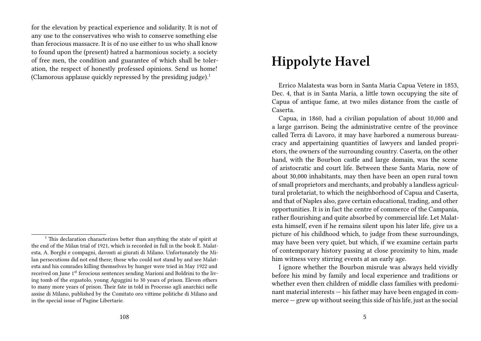for the elevation by practical experience and solidarity. It is not of any use to the conservatives who wish to conserve something else than ferocious massacre. It is of no use either to us who shall know to found upon the (present) hatred a harmonious society. a society of free men, the condition and guarantee of which shall be toleration, the respect of honestly professed opinions. Send us home! (Clamorous applause quickly repressed by the presiding judge). $1$ 

### **Hippolyte Havel**

Errico Malatesta was born in Santa Maria Capua Vetere in 1853, Dec. 4, that is in Santa Maria, a little town occupying the site of Capua of antique fame, at two miles distance from the castle of Caserta.

Capua, in 1860, had a civilian population of about 10,000 and a large garrison. Being the administrative centre of the province called Terra di Lavoro, it may have harbored a numerous bureaucracy and appertaining quantities of lawyers and landed proprietors, the owners of the surrounding country. Caserta, on the other hand, with the Bourbon castle and large domain, was the scene of aristocratic and court life. Between these Santa Maria, now of about 30,000 inhabitants, may then have been an open rural town of small proprietors and merchants, and probably a landless agricultural proletariat, to which the neighborhood of Capua and Caserta, and that of Naples also, gave certain educational, trading, and other opportunities. It is in fact the centre of commerce of the Campania, rather flourishing and quite absorbed by commercial life. Let Malatesta himself, even if he remains silent upon his later life, give us a picture of his childhood which, to judge from these surroundings, may have been very quiet, but which, if we examine certain parts of contemporary history passing at close proximity to him, made him witness very stirring events at an early age.

I ignore whether the Bourbon misrule was always held vividly before his mind by family and local experience and traditions or whether even then children of middle class families with predominant material interests — his father may have been engaged in commerce — grew up without seeing this side of his life, just as the social

<sup>&</sup>lt;sup>1</sup> This declaration characterizes better than anything the state of spirit at the end of the Milan trial of 1921, which is recorded in full in the book E. Malatesta, A. Borghi e compagni, davonti ai giurati di Milano. Unfortunately the Milan persecutions did not end there; those who could not stand by and see Malatesta and his comrades killing themselves by hunger were tried in May 1922 and received on June 1<sup>st</sup> ferocious sentences sending Marioni and Boldrini to the living tomb of the ergastolo, young Aguggini to 30 years of prison. Eleven others to many more years of prison. Their fate in told in Processo agli anarchici nelle assise di Milano, published by the Comitato oro vittime politiche di Milano and in the special issue of Pagine Libertarie.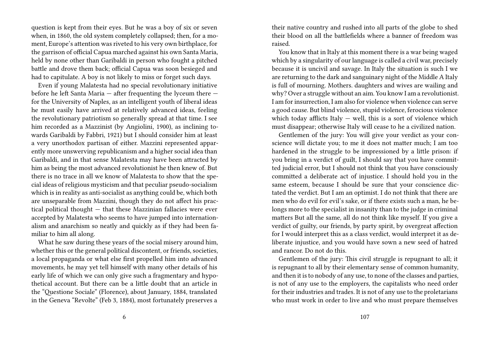question is kept from their eyes. But he was a boy of six or seven when, in 1860, the old system completely collapsed; then, for a moment, Europe's attention was riveted to his very own birthplace, for the garrison of official Capua marched against his own Santa Maria, held by none other than Garibaldi in person who fought a pitched battle and drove them back; official Capua was soon besieged and had to capitulate. A boy is not likely to miss or forget such days.

Even if young Malatesta had no special revolutionary initiative before he left Santa Maria — after frequenting the lyceum there for the University of Naples, as an intelligent youth of liberal ideas he must easily have arrived at relatively advanced ideas, feeling the revolutionary patriotism so generally spread at that time. I see him recorded as a Mazzinist (by Angiolini, 1900), as inclining towards Garibaldi by Fabbri, 1921) but I should consider him at least a very unorthodox partisan of either. Mazzini represented apparently more unswerving republicanism and a higher social idea than Garibaldi, and in that sense Malatesta may have been attracted by him as being the most advanced revolutionist he then knew of. But there is no trace in all we know of Malatesta to show that the special ideas of religious mysticism and that peculiar pseudo-socialism which is in reality as anti-socialist as anything could be, which both are unseparable from Mazzini, though they do not affect his practical political thought — that these Mazzinian fallacies were ever accepted by Malatesta who seems to have jumped into internationalism and anarchism so neatly and quickly as if they had been familiar to him all along.

What he saw during these years of the social misery around him, whether this or the general political discontent, or friends, societies, a local propaganda or what else first propelled him into advanced movements, he may yet tell himself with many other details of his early life of which we can only give such a fragmentary and hypothetical account. But there can be a little doubt that an article in the "Questione Sociale" (Florence), about January, 1884, translated in the Geneva "Revolte" (Feb 3, 1884), most fortunately preserves a

their native country and rushed into all parts of the globe to shed their blood on all the battlefields where a banner of freedom was raised.

You know that in Italy at this moment there is a war being waged which by a singularity of our language is called a civil war, precisely because it is uncivil and savage. In Italy the situation is such I we are returning to the dark and sanguinary night of the Middle A Italy is full of mourning. Mothers. daughters and wives are wailing and why? Over a struggle without an aim. You know I am a revolutionist. I am for insurrection, I am also for violence when violence can serve a good cause. But blind violence, stupid violence, ferocious violence which today afflicts Italy  $-$  well, this is a sort of violence which must disappear; otherwise Italy will cease to he a civilized nation.

Gentlemen of the jury: You will give your verdict as your conscience will dictate you; to me it does not matter much; I am too hardened in the struggle to be impressioned by a little prison: if you bring in a verdict of guilt, I should say that you have committed judicial error, but I should not think that you have consciously committed a deliberate act of injustice. I should hold you in the same esteem, because I should be sure that your conscience dictated the verdict. But I am an optimist. I do not think that there are men who do evil for evil's sake, or if there exists such a man, he belongs more to the specialist in insanity than to the judge in criminal matters But all the same, all do not think like myself. If you give a verdict of guilty, our friends, by party spirit, by overgreat affection for I would interpret this as a class verdict, would interpret it as deliberate injustice, and you would have sown a new seed of hatred and rancor. Do not do this.

Gentlemen of the jury: This civil struggle is repugnant to all; it is repugnant to all by their elementary sense of common humanity, and then it is to nobody of any use, to none of the classes and parties, is not of any use to the employers, the capitalists who need order for their industries and trades. It is not of any use to the proletarians who must work in order to live and who must prepare themselves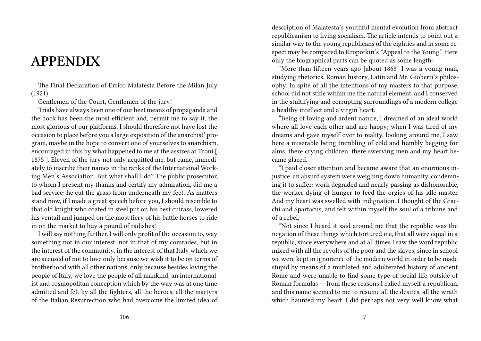### **APPENDIX**

The Final Declaration of Errico Malatesta Before the Milan July (1921)

Gentlemen of the Court, Gentlemen of the jury!

Trials have always been one of our beet means of propaganda and the dock has been the most efficient and, permit me to say it, the most glorious of our platforms. I should therefore not have lost the occasion to place before you a large exposition of the anarchist' program, maybe in the hope to convert one of yourselves to anarchism, encouraged in this by what happened to me at the assizes at Troni [ 1875 ]. Eleven of the jury not only acquitted me, but came, immediately to inscribe their names in the ranks of the International Working Men's Association. But what shall I do? The public prosecutor, to whom I present my thanks and certify my admiration, did me a bad service: he cut the grass from underneath my feet. As matters stand now, if I made a great speech before you, I should resemble to that old knight who coated in steel put on his best cuirass, lowered his ventail and jumped on the most fiery of his battle horses to ride in on the market to buy a pound of radishes!

I will say nothing further. I will only profit of the occasion to, way something not in our interest, not in that of my comrades, but in the interest of the community, in the interest of that Italy which we are accused of not to love only because we wish it to be on terms of brotherhood with all other nations, only because besides loving the people of Italy, we love the people of all mankind, an internationalist and cosmopolitan conception which by the way was at one time admitted and felt by all the fighters, all the heroes, all the martyrs of the Italian Resurrection who had overcome the limited idea of

description of Malatesta's youthful mental evolution from abstract republicanism to living socialism. The article intends to point out a similar way to the young republicans of the eighties and in some respect may be compared to Kropotkin's "Appeal to the Young." Here only the biographical parts can be quoted as some length:

"More than fifteen years ago [about 1868] I was a young man, studying rhetorics, Roman history, Latin and Mr. Gioberti's philosophy. In spite of all the intentions of my masters to that purpose, school did not stifle within me the natural element, and I conserved in the stultifying and corrupting surroundings of a modern college a healthy intellect and a virgin heart.

"Being of loving and ardent nature, I dreamed of an ideal world where all love each other and are happy; when I was tired of my dreams and gave myself over to reality, looking around me, I saw here a miserable being trembling of cold and humbly begging for alms, there crying children, there swerving men and my heart became glaced.

"I paid closer attention and became aware that an enormous injustice, an absurd system were weighing down humanity, condemning it to suffer: work degraded and nearly passing as dishonorable, the worker dying of hunger to feed the orgies of his idle master. And my heart was swelled with indignation. I thought of the Gracchi and Spartacus, and felt within myself the soul of a tribune and of a rebel.

"Not since I heard it said around me that the republic was the negation of these things which tortured me, that all were equal in a republic, since everywhere and at all times I saw the word republic mixed with all the revolts of the poor and the slaves, since in school we were kept in ignorance of the modern world in order to be made stupid by means of a mutilated and adulterated history of ancient Rome and were unable to find some type of social life outside of Roman formulas — from these reasons I called myself a republican, and this name seemed to me to resume all the desires, all the wrath which haunted my heart. I did perhaps not very well know what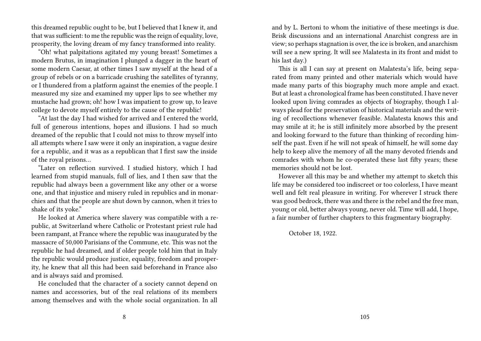this dreamed republic ought to be, but I believed that I knew it, and that was sufficient: to me the republic was the reign of equality, love, prosperity, the loving dream of my fancy transformed into reality.

"Oh! what palpitations agitated my young breast! Sometimes a modern Brutus, in imagination I plunged a dagger in the heart of some modern Caesar, at other times I saw myself at the head of a group of rebels or on a barricade crushing the satellites of tyranny, or I thundered from a platform against the enemies of the people. I measured my size and examined my upper lips to see whether my mustache had grown; oh! how I was impatient to grow up, to leave college to devote myself entirely to the cause of the republic!

"At last the day I had wished for arrived and I entered the world, full of generous intentions, hopes and illusions. I had so much dreamed of the republic that I could not miss to throw myself into all attempts where I saw were it only an inspiration, a vague desire for a republic, and it was as a republican that I first saw the inside of the royal prisons…

"Later on reflection survived. I studied history, which I had learned from stupid manuals, full of lies, and I then saw that the republic had always been a government like any other or a worse one, and that injustice and misery ruled in republics and in monarchies and that the people are shut down by cannon, when it tries to shake of its yoke."

He looked at America where slavery was compatible with a republic, at Switzerland where Catholic or Protestant priest rule had been rampant, at France where the republic was inaugurated by the massacre of 50,000 Parisians of the Commune, etc. This was not the republic he had dreamed, and if older people told him that in Italy the republic would produce justice, equality, freedom and prosperity, he knew that all this had been said beforehand in France also and is always said and promised.

He concluded that the character of a society cannot depend on names and accessories, but of the real relations of its members among themselves and with the whole social organization. In all

and by L. Bertoni to whom the initiative of these meetings is due. Brisk discussions and an international Anarchist congress are in view; so perhaps stagnation is over, the ice is broken, and anarchism will see a new spring. It will see Malatesta in its front and midst to his last day.)

This is all I can say at present on Malatesta's life, being separated from many printed and other materials which would have made many parts of this biography much more ample and exact. But at least a chronological frame has been constituted. I have never looked upon living comrades as objects of biography, though I always plead for the preservation of historical materials and the writing of recollections whenever feasible. Malatesta knows this and may smile at it; he is still infinitely more absorbed by the present and looking forward to the future than thinking of recording himself the past. Even if he will not speak of himself, he will some day help to keep alive the memory of all the many devoted friends and comrades with whom he co-operated these last fifty years; these memories should not be lost.

However all this may be and whether my attempt to sketch this life may be considered too indiscreet or too colorless, I have meant well and felt real pleasure in writing. For wherever I struck there was good bedrock, there was and there is the rebel and the free man, young or old, better always young, never old. Time will add, I hope, a fair number of further chapters to this fragmentary biography.

October 18, 1922.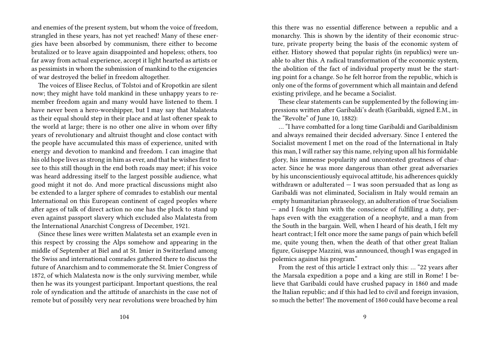and enemies of the present system, but whom the voice of freedom, strangled in these years, has not yet reached! Many of these energies have been absorbed by communism, there either to become brutalized or to leave again disappointed and hopeless; others, too far away from actual experience, accept it light hearted as artists or as pessimists in whom the submission of mankind to the exigencies of war destroyed the belief in freedom altogether.

The voices of Elisee Reclus, of Tolstoi and of Kropotkin are silent now; they might have told mankind in these unhappy years to remember freedom again and many would have listened to them. I have never been a hero-worshipper, but I may say that Malatesta as their equal should step in their place and at last oftener speak to the world at large; there is no other one alive in whom over fifty years of revolutionary and altruist thought and close contact with the people have accumulated this mass of experience, united with energy and devotion to mankind and freedom. I can imagine that his old hope lives as strong in him as ever, and that he wishes first to see to this still though in the end both roads may meet; if his voice was heard addressing itself to the largest possible audience, what good might it not do. And more practical discussions might also be extended to a larger sphere of comrades to establish our mental International on this European continent of caged peoples where after ages of talk of direct action no one has the pluck to stand up even against passport slavery which excluded also Malatesta from the International Anarchist Congress of December, 1921.

(Since these lines were written Malatesta set an example even in this respect by crossing the Alps somehow and appearing in the middle of September at Biel and at St. Imier in Switzerland among the Swiss and international comrades gathered there to discuss the future of Anarchism and to commemorate the St. Imier Congress of 1872, of which Malatesta now is the only surviving member, while then he was its youngest participant. Important questions, the real role of syndication and the attitude of anarchists in the case not of remote but of possibly very near revolutions were broached by him

this there was no essential difference between a republic and a monarchy. This is shown by the identity of their economic structure, private property being the basis of the economic system of either. History showed that popular rights (in republics) were unable to alter this. A radical transformation of the economic system, the abolition of the fact of individual property must be the starting point for a change. So he felt horror from the republic, which is only one of the forms of government which all maintain and defend existing privilege, and he became a Socialist.

These clear statements can be supplemented by the following impressions written after Garibaldi's death (Garibaldi, signed E.M., in the "Revolte" of June 10, 1882):

… "I have combatted for a long time Garibaldi and Garibaldinism and always remained their decided adversary. Since I entered the Socialist movement I met on the road of the International in Italy this man, I will rather say this name, relying upon all his formidable glory, his immense popularity and uncontested greatness of character. Since he was more dangerous than other great adversaries by his unconscientiously equivocal attitude, his adherences quickly withdrawn or adulterated — I was soon persuaded that as long as Garibaldi was not eliminated, Socialism in Italy would remain an empty humanitarian phraseology, an adulteration of true Socialism — and I fought him with the conscience of fulfilling a duty, perhaps even with the exaggeration of a neophyte, and a man from the South in the bargain. Well, when I heard of his death, I felt my heart contract; I felt once more the same pangs of pain which befell me, quite young then, when the death of that other great Italian figure, Guiseppe Mazzini, was announced, though I was engaged in polemics against his program."

From the rest of this article I extract only this: … "22 years after the Marsala expedition a pope and a king are still in Rome! I believe that Garibaldi could have crushed papacy in 1860 and made the Italian republic; and if this had led to civil and foreign invasion, so much the better! The movement of 1860 could have become a real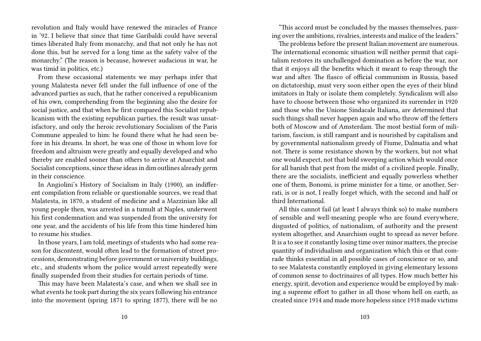revolution and Italy would have renewed the miracles of France in '92. I believe that since that time Garibaldi could have several times liberated Italy from monarchy, and that not only he has not done this, but he served for a long time as the safety valve of the monarchy." (The reason is because, however audacious in war, he was timid in politics, etc.)

From these occasional statements we may perhaps infer that young Malatesta never fell under the full influence of one of the advanced parties as such, that he rather conceived a republicanism of his own, comprehending from the beginning also the desire for social justice, and that when he first compared this Socialist republicanism with the existing republican parties, the result was unsatisfactory, and only the heroic revolutionary Socialism of the Paris Commune appealed to him: he found there what he had seen before in his dreams. In short, he was one of those in whom love for freedom and altruism were greatly and equally developed and who thereby are enabled sooner than others to arrive at Anarchist and Socialist conceptions, since these ideas in dim outlines already germ in their conscience.

In Angiolini's History of Socialism in Italy (1900), an indifferent compilation from reliable or questionable sources, we read that Malatesta, in 1870, a student of medicine and a Mazzinian like all young people then, was arrested in a tumult at Naples, underwent his first condemnation and was suspended from the university for one year, and the accidents of his life from this time hindered him to resume his studies.

In those years, I am told, meetings of students who had some reason for discontent, would often lead to the formation of street processions, demonstrating before government or university buildings, etc., and students whom the police would arrest repeatedly were finally suspended from their studies for certain periods of time.

This may have been Malatesta's case, and when we shall see in what events he took part during the six years following his entrance into the movement (spring 1871 to spring 1877), there will be no

"This accord must be concluded by the masses themselves, passing over the ambitions, rivalries, interests and malice of the leaders."

The problems before the present Italian movement are numerous. The international economic situation will neither permit that capitalism restores its unchallenged domination as before the war, nor that it enjoys all the benefits which it meant to reap through the war and after. The fiasco of official communism in Russia, based on dictatorship, must very soon either open the eyes of their blind imitators in Italy or isolate them completely. Syndicalism will also have to choose between those who organized its surrender in 1920 and those who the Unione Sindacale Italiana, are determined that such things shall never happen again and who throw off the fetters both of Moscow and of Amsterdam. The most bestial form of militarism, fascism, is still rampant and is nourished by capitalism and by governmental nationalism greedy of Fiume, Dalmatia and what not. There is some resistance shown by the workers, but not what one would expect, not that bold sweeping action which would once for all banish that pest from the midst of a civilized people. Finally, there are the socialists, inefficient and equally powerless whether one of them, Bonomi, is prime minister for a time, or another, Serrati, is or is not, I really forget which, with the second and half or third International.

All this cannot fail (at least I always think so) to make numbers of sensible and well-meaning people who are found everywhere, disgusted of politics, of nationalism, of authority and the present system altogether, and Anarchism ought to spread as never before. It is a to see it constantly losing time over minor matters, the precise quantity of individualism and organization which this or that comrade thinks essential in all possible cases of conscience or so, and to see Malatesta constantly employed in giving elementary lessons of common sense to doctrinaires of all types. How much better his energy, spirit, devotion and experience would be employed by making a supreme effort to gather in all those whom hell on earth, as created since 1914 and made more hopeless since 1918 made victims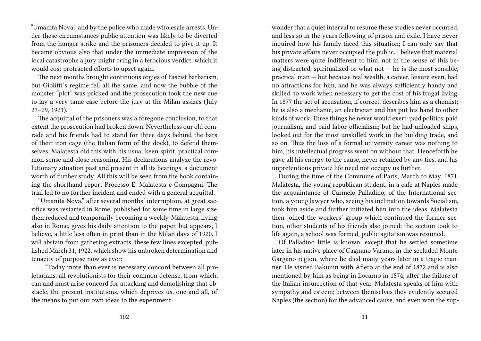"Umanita Nova," and by the police who made wholesale arrests. Under these circumstances public attention was likely to be diverted from the hunger strike and the prisoners decided to give it up. It became obvious also that under the immediate impression of the local catastrophe a jury might bring in a ferocious verdict, which it would cost protracted efforts to upset again.

The next months brought continuous orgies of Fascist barbarism, but Giolitti's regime fell all the same, and now the bubble of the monster "plot" was pricked and the prosecution took the new cue to lay a very tame case before the jury at the Milan assizes (July 27–29, 1921).

The acquittal of the prisoners was a foregone conclusion, to that extent the prosecution had broken down. Nevertheless our old comrade and his friends had to stand for three days behind the bars of their iron cage (the Italian form of the dock), to defend themselves. Malatesta did this with his usual keen spirit, practical common sense and close reasoning. His declarations analyze the revolutionary situation past and present in all its bearings, a document worth of further study. All this will be seen from the book containing the shorthand report Processo E. Malatesta e Compagni. The trial led to no further incident and ended with a general acquittal.

"Umanita Nova," after several months' interruption, at great sacrifice was restarted in Rome, published for some time in large size. then reduced and temporarily becoming a weekly. Malatesta, living also in Rome, gives his daily attention to the paper, but appears, I believe, a little less often in print than in the Milan days of 1920. I will abstain from gathering extracts, these few lines excepted, published March 31, 1922, which show his unbroken determination and tenacity of purpose now as ever:

… "Today more than ever is necessary concord between all proletarians, all revolutionists for their common defense, from which, can and must arise concord for attacking and demolishing that obstacle, the present institutions, which deprives us, one and all, of the means to put our own ideas to the experiment.

wonder that a quiet interval to resume these studies never occurred, and less so in the years following of prison and exile. I have never inquired how his family faced this situation; I can only say that his private affairs never occupied the public. I believe that material matters were quite indifferent to him, not in the sense of this being distracted, spiritualized or what not  $-$  he is the most sensible, practical man — but because real wealth, a career, leisure even, had no attractions for him, and he was always sufficiently handy and skilled, to work when necessary to get the cost of his frugal living. In 1877 the act of accusation, if correct, describes him as a chemist; he is also a mechanic, an electrician and has put his hand to other kinds of work. Three things he never would exert: paid politics, paid journalism, and paid labor officialism; but he had unloaded ships, looked out for the most unskilled work in the building trade, and so on. Thus the loss of a formal university career was nothing to him, his intellectual progress went on without that. Henceforth he gave all his energy to the cause, never retained by any ties, and his unpretentious private life need not occupy us further.

During the time of the Commune of Paris, March to May, 1871, Malatesta, the young republican student, in a cafe at Naples made the acquaintance of Carmelo Palladino, of the International section, a young lawyer who, seeing his inclination towards Socialism, took him aside and further initiated him into the ideas. Malatesta then joined the workers' group which continued the former section, other students of his friends also joined; the section took to life again, a school was formed, public agitation was resumed.

Of Palladino little is known, except that he settled sometime later in his native place of Cagnano Varano, in the secluded Monte Gargano region, where he died many years later in a tragic manner. He visited Bakunin with Afiero at the end of 1872 and is also mentioned by him as being in Locarno in 1874, after the failure of the Italian insurrection of that year. Malatesta speaks of him with sympathy and esteem; between themselves they evidently secured Naples (the section) for the advanced cause, and even won the sup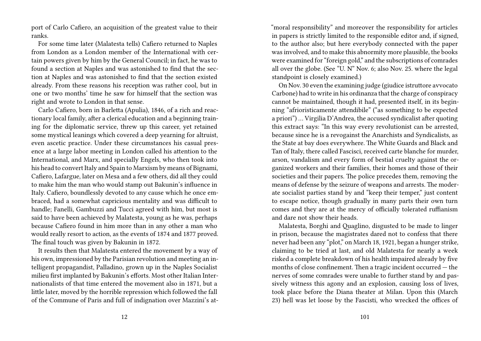port of Carlo Cafiero, an acquisition of the greatest value to their ranks.

For some time later (Malatesta tells) Cafiero returned to Naples from London as a London member of the International with certain powers given by him by the General Council; in fact, he was to found a section at Naples and was astonished to find that the section at Naples and was astonished to find that the section existed already. From these reasons his reception was rather cool, but in one or two months' time he saw for himself that the section was right and wrote to London in that sense.

Carlo Cafiero, born in Barletta (Apulia), 1846, of a rich and reactionary local family, after a clerical education and a beginning training for the diplomatic service, threw up this career, yet retained some mystical leanings which covered a deep yearning for altruist, even ascetic practice. Under these circumstances his casual presence at a large labor meeting in London called his attention to the International, and Marx, and specially Engels, who then took into his head to convert Italy and Spain to Marxism by means of Bignami, Cafiero, Lafargue, later on Mesa and a few others, did all they could to make him the man who would stamp out Bakunin's influence in Italy. Cafiero, boundlessly devoted to any cause which he once embraced, had a somewhat capricious mentality and was difficult to handle; Fanelli, Gambuzzi and Tucci agreed with him, but most is said to have been achieved by Malatesta, young as he was, perhaps because Cafiero found in him more than in any other a man who would really resort to action, as the events of 1874 and 1877 proved. The final touch was given by Bakunin in 1872.

It results then that Malatesta entered the movement by a way of his own, impressioned by the Parisian revolution and meeting an intelligent propagandist, Palladino, grown up in the Naples Socialist milieu first implanted by Bakunin's efforts. Most other Italian Internationalists of that time entered the movement also in 1871, but a little later, moved by the horrible repression which followed the fall of the Commune of Paris and full of indignation over Mazzini's at"moral responsibility" and moreover the responsibility for articles in papers is strictly limited to the responsible editor and, if signed, to the author also; but here everybody connected with the paper was involved, and to make this abnormity more plausible, the books were examined for "foreign gold," and the subscriptions of comrades all over the globe. (See "U. N" Nov. 6; also Nov. 25. where the legal standpoint is closely examined.)

On Nov. 30 even the examining judge (giudice istruttore avvocato Carbone) had to write in his ordinanza that the charge of conspiracy cannot be maintained, though it had, presented itself, in its beginning "afrioristicamente attendibile" ("as something to be expected a priori") … Virgilia D'Andrea, the accused syndicalist after quoting this extract says: "In this way every revolutionist can be arrested, because since he is a revogainst the Anarchists and Syndicalists, as the State at bay does everywhere. The White Guards and Black and Tan of Italy, there called Fascisci, received carte blanche for murder, arson, vandalism and every form of bestial cruelty against the organized workers and their families, their homes and those of their societies and their papers. The police precedes them, removing the means of defense by the seizure of weapons and arrests. The moderate socialist parties stand by and "keep their temper," just content to escape notice, though gradually in many parts their own turn comes and they are at the mercy of officially tolerated ruffianism and dare not show their heads.

Malatesta, Borghi and Quaglino, disgusted to be made to linger in prison, because the magistrates dared not to confess that there never had been any "plot," on March 18, 1921, began a hunger strike, claiming to be tried at last, and old Malatesta for nearly a week risked a complete breakdown of his health impaired already by five months of close confinement. Then a tragic incident occurred — the nerves of some comrades were unable to further stand by and passively witness this agony and an explosion, causing loss of lives, took place before the Diana theater at Milan. Upon this (March 23) hell was let loose by the Fascisti, who wrecked the offices of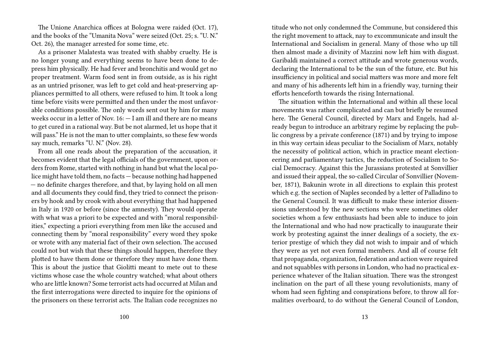The Unione Anarchica offices at Bologna were raided (Oct. 17), and the books of the "Umanita Nova" were seized (Oct. 25; s. "U. N." Oct. 26), the manager arrested for some time, etc.

As a prisoner Malatesta was treated with shabby cruelty. He is no longer young and everything seems to have been done to depress him physically. He had fever and bronchitis and would get no proper treatment. Warm food sent in from outside, as is his right as an untried prisoner, was left to get cold and heat-preserving appliances permitted to all others, were refused to him. It took a long time before visits were permitted and then under the most unfavorable conditions possible. The only words sent out by him for many weeks occur in a letter of Nov.  $16: -I$  am ill and there are no means to get cured in a rational way. But be not alarmed, let us hope that it will pass." He is not the man to utter complaints, so these few words say much, remarks "U. N." (Nov. 28).

From all one reads about the preparation of the accusation, it becomes evident that the legal officials of the government, upon orders from Rome, started with nothing in hand but what the local police might have told them, no facts — because nothing had happened — no definite charges therefore, and that, by laying hold on all men and all documents they could find, they tried to connect the prisoners by hook and by crook with about everything that had happened in Italy in 1920 or before (since the amnesty). They would operate with what was a priori to be expected and with "moral responsibilities," expecting a priori everything from men like the accused and connecting them by "moral responsibility" every word they spoke or wrote with any material fact of their own selection. The accused could not but wish that these things should happen, therefore they plotted to have them done or therefore they must have done them. This is about the justice that Giolitti meant to mete out to these victims whose case the whole country watched; what about others who are little known? Some terrorist acts had occurred at Milan and the first interrogations were directed to inquire for the opinions of the prisoners on these terrorist acts. The Italian code recognizes no

titude who not only condemned the Commune, but considered this the right movement to attack, nay to excommunicate and insult the International and Socialism in general. Many of those who up till then almost made a divinity of Mazzini now left him with disgust. Garibaldi maintained a correct attitude and wrote generous words, declaring the International to be the sun of the future, etc. But his insufficiency in political and social matters was more and more felt and many of his adherents left him in a friendly way, turning their efforts henceforth towards the rising International.

The situation within the International and within all these local movements was rather complicated and can but briefly be resumed here. The General Council, directed by Marx and Engels, had already begun to introduce an arbitrary regime by replacing the public congress by a private conference (1871) and by trying to impose in this way certain ideas peculiar to the Socialism of Marx, notably the necessity of political action, which in practice meant electioneering and parliamentary tactics, the reduction of Socialism to Social Democracy. Against this the Jurassians protested at Sonvillier and issued their appeal, the so-called Circular of Sonvillier (November, 1871), Bakunin wrote in all directions to explain this protest which e.g. the section of Naples seconded by a letter of Palladino to the General Council. It was difficult to make these interior dissensions understood by the new sections who were sometimes older societies whom a few enthusiasts had been able to induce to join the International and who had now practically to inaugurate their work by protesting against the inner dealings of a society, the exterior prestige of which they did not wish to impair and of which they were as yet not even formal members. And all of course felt that propaganda, organization, federation and action were required and not squabbles with persons in London, who had no practical experience whatever of the Italian situation. There was the strongest inclination on the part of all these young revolutionists, many of whom had seen fighting and conspirations before, to throw all formalities overboard, to do without the General Council of London,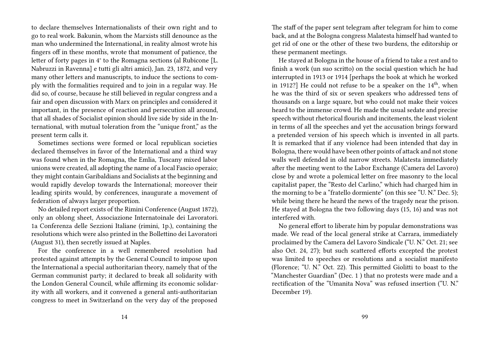to declare themselves Internationalists of their own right and to go to real work. Bakunin, whom the Marxists still denounce as the man who undermined the International, in reality almost wrote his fingers off in these months, wrote that monument of patience, the letter of forty pages in 4° to the Romagna sections (al Rubicone [L. Nabruzzi in Ravenna] e tutti gli altri amici), Jan. 23, 1872, and very many other letters and manuscripts, to induce the sections to comply with the formalities required and to join in a regular way. He did so, of course, because he still believed in regular congress and a fair and open discussion with Marx on principles and considered it important, in the presence of reaction and persecution all around, that all shades of Socialist opinion should live side by side in the International, with mutual toleration from the "unique front," as the present term calls it.

Sometimes sections were formed or local republican societies declared themselves in favor of the International and a third way was found when in the Romagna, the Emlia, Tuscany mixed labor unions were created, all adopting the name of a local Fascio operaio; they might contain Garibaldians and Socialists at the beginning and would rapidly develop towards the International; moreover their leading spirits would, by conferences, inaugurate a movement of federation of always larger proportion.

No detailed report exists of the Rimini Conference (August 1872), only an oblong sheet, Associazione Internatoinale dei Lavoratori. 1a Conferenza delle Sezzioni Italiane (rimini, 1p.), containing the resolutions which were also printed in the Bollettino dei Lavoratori (August 31), then secretly issued at Naples.

For the conference in a well remembered resolution had protested against attempts by the General Council to impose upon the International a special authoritarian theory, namely that of the German communist party; it declared to break all solidarity with the London General Council, while affirming its economic solidarity with all workers, and it convened a general anti-authoritarian congress to meet in Switzerland on the very day of the proposed

The staff of the paper sent telegram after telegram for him to come back, and at the Bologna congress Malatesta himself had wanted to get rid of one or the other of these two burdens, the editorship or these permanent meetings.

He stayed at Bologna in the house of a friend to take a rest and to finish a work (un suo scritto) on the social question which he had interrupted in 1913 or 1914 [perhaps the book at which he worked in 1912?] He could not refuse to be a speaker on the  $14<sup>th</sup>$ , when he was the third of six or seven speakers who addressed tens of thousands on a large square, but who could not make their voices heard to the immense crowd. He made the usual sedate and precise speech without rhetorical flourish and incitements, the least violent in terms of all the speeches and yet the accusation brings forward a pretended version of his speech which is invented in all parts. It is remarked that if any violence had been intended that day in Bologna, there would have been other points of attack and not stone walls well defended in old narrow streets. Malatesta immediately after the meeting went to the Labor Exchange (Camera del Lavoro) close by and wrote a polemical letter on free masonry to the local capitalist paper, the "Resto del Carlino," which had charged him in the morning to be a "fratello dormiente" (on this see "U. N." Dec. 5); while being there he heard the news of the tragedy near the prison. He stayed at Bologna the two following days (15, 16) and was not interfered with.

No general effort to liberate him by popular demonstrations was made. We read of the local general strike at Carrara, immediately proclaimed by the Camera del Lavoro Sindicale ("U. N." Oct. 21; see also Oct. 24, 27); but such scattered efforts excepted the protest was limited to speeches or resolutions and a socialist manifesto (Florence; "U. N." Oct. 22). This permitted Giolitti to boast to the "Manchester Guardian" (Dec. 1 ) that no protests were made and a rectification of the "Umanita Nova" was refused insertion ("U. N." December 19).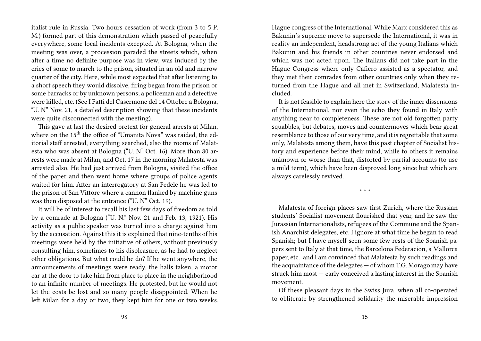italist rule in Russia. Two hours cessation of work (from 3 to 5 P. M.) formed part of this demonstration which passed of peacefully everywhere, some local incidents excepted. At Bologna, when the meeting was over, a procession paraded the streets which, when after a time no definite purpose was in view, was induced by the cries of some to march to the prison, situated in an old and narrow quarter of the city. Here, while most expected that after listening to a short speech they would dissolve, firing began from the prison or some barracks or by unknown persons; a policeman and a detective were killed, etc. (See I Fatti del Casermone del 14 Ottobre a Bologna, "U. N" Nov. 21, a detailed description showing that these incidents were quite disconnected with the meeting).

This gave at last the desired pretext for general arrests at Milan, where on the 15<sup>th</sup> the office of "Umanita Nova" was raided, the editorial staff arrested, everything searched, also the rooms of Malatesta who was absent at Bologna ("U. N" Oct. 16). More than 80 arrests were made at Milan, and Oct. 17 in the morning Malatesta was arrested also. He had just arrived from Bologna, visited the office of the paper and then went home where groups of police agents waited for him. After an interrogatory at San Fedele he was led to the prison of San Vittore where a cannon flanked by machine guns was then disposed at the entrance ("U. N" Oct. 19).

It will be of interest to recall his last few days of freedom as told by a comrade at Bologna ("U. N." Nov. 21 and Feb. 13, 1921). His activity as a public speaker was turned into a charge against him by the accusation. Against this it is explained that nine-tenths of his meetings were held by the initiative of others, without previously consulting him, sometimes to his displeasure, as he had to neglect other obligations. But what could he do? If he went anywhere, the announcements of meetings were ready, the halls taken, a motor car at the door to take him from place to place in the neighborhood to an infinite number of meetings. He protested, but he would not let the costs be lost and so many people disappointed. When he left Milan for a day or two, they kept him for one or two weeks. Hague congress of the International. While Marx considered this as Bakunin's supreme move to supersede the International, it was in reality an independent, headstrong act of the young Italians which Bakunin and his friends in other countries never endorsed and which was not acted upon. The Italians did not take part in the Hague Congress where only Cafiero assisted as a spectator, and they met their comrades from other countries only when they returned from the Hague and all met in Switzerland, Malatesta included.

It is not feasible to explain here the story of the inner dissensions of the International, nor even the echo they found in Italy with anything near to completeness. These are not old forgotten party squabbles, but debates, moves and countermoves which bear great resemblance to those of our very time, and it is regrettable that some only, Malatesta among them, have this past chapter of Socialist history and experience before their mind, while to others it remains unknown or worse than that, distorted by partial accounts (to use a mild term), which have been disproved long since but which are always carelessly revived.

\* \* \*

Malatesta of foreign places saw first Zurich, where the Russian students' Socialist movement flourished that year, and he saw the Jurassian Internationalists, refugees of the Commune and the Spanish Anarchist delegates, etc. I ignore at what time he began to read Spanish; but I have myself seen some few rests of the Spanish papers sent to Italy at that time, the Barcelona Federacion, a Mallorca paper, etc., and I am convinced that Malatesta by such readings and the acquaintance of the delegates — of whom T.G. Morago may have struck him most — early conceived a lasting interest in the Spanish movement.

Of these pleasant days in the Swiss Jura, when all co-operated to obliterate by strengthened solidarity the miserable impression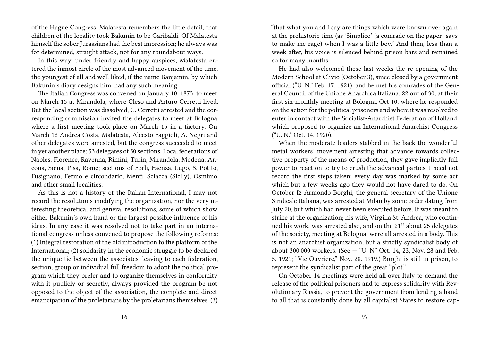of the Hague Congress, Malatesta remembers the little detail, that children of the locality took Bakunin to be Garibaldi. Of Malatesta himself the sober Jurassians had the best impression; he always was for determined, straight attack, not for any roundabout ways.

In this way, under friendly and happy auspices, Malatesta entered the inmost circle of the most advanced movement of the time, the youngest of all and well liked, if the name Banjamin, by which Bakunin's diary designs him, had any such meaning.

The Italian Congress was convened on January 10, 1873, to meet on March 15 at Mirandola, where Cleso and Arturo Cerretti lived. But the local section was dissolved, C. Cerretti arrested and the corresponding commission invited the delegates to meet at Bologna where a first meeting took place on March 15 in a factory. On March 16 Andrea Costa, Malatesta, Alcesto Faggioli, A. Negri and other delegates were arrested, but the congress succeeded to meet in yet another place; 53 delegates of 50 sections. Local federations of Naples, Florence, Ravenna, Rimini, Turin, Mirandola, Modena, Ancona, Siena, Pisa, Rome; sections of Forli, Faenza, Lugo, S. Potito, Fusignano, Fermo e circondario, Menfi, Sciacca (Sicily), Osmimo and other small localities.

As this is not a history of the Italian International, I may not record the resolutions modifying the organization, nor the very interesting theoretical and general resolutions, some of which show either Bakunin's own hand or the largest possible influence of his ideas. In any case it was resolved not to take part in an international congress unless convened to propose the following reforms: (1) Integral restoration of the old introduction to the platform of the International; (2) solidarity in the economic struggle to be declared the unique tie between the associates, leaving to each federation, section, group or individual full freedom to adopt the political program which they prefer and to organize themselves in conformity with it publicly or secretly, always provided the program be not opposed to the object of the association, the complete and direct emancipation of the proletarians by the proletarians themselves. (3)

"that what you and I say are things which were known over again at the prehistoric time (as 'Simplico' [a comrade on the paper] says to make me rage) when I was a little boy." And then, less than a week after, his voice is silenced behind prison bars and remained so for many months.

He had also welcomed these last weeks the re-opening of the Modern School at Clivio (October 3), since closed by a government official ("U. N." Feb. 17, 1921), and he met his comrades of the General Council of the Unione Anarchica Italiana, 22 out of 30, at their first six-monthly meeting at Bologna, Oct 10, where he responded on the action for the political prisoners and where it was resolved to enter in contact with the Socialist-Anarchist Federation of Holland, which proposed to organize an International Anarchist Congress ("U. N." Oct. 14. 1920).

When the moderate leaders stabbed in the back the wonderful metal workers' movement arresting that advance towards collective property of the means of production, they gave implicitly full power to reaction to try to crush the advanced parties. I need not record the first steps taken; every day was marked by some act which but a few weeks ago they would not have dared to do. On October I2 Armondo Borghi, the general secretary of the Unione Sindicale Italiana, was arrested at Milan by some order dating from July 20, but which had never been executed before. It was meant to strike at the organization; his wife, Virgilia St. Andrea, who continued his work, was arrested also, and on the 21<sup>st</sup> about 25 delegates of the society, meeting at Bologna, were all arrested in a body. This is not an anarchist organization, but a strictly syndicalist body of about 300,000 workers. (See — "U. N" Oct. 14, 23, Nov. 28 and Feb. 5. 1921; "Vie Ouvriere," Nov. 28. 1919.) Borghi is still in prison, to represent the syndicalist part of the great "plot."

On October 14 meetings were held all over Italy to demand the release of the political prisoners and to express solidarity with Revolutionary Russia, to prevent the government from lending a hand to all that is constantly done by all capitalist States to restore cap-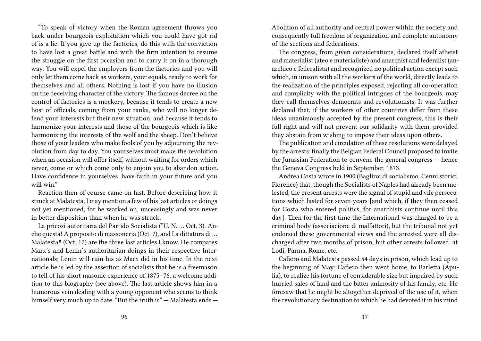"To speak of victory when the Roman agreement throws you back under bourgeois exploitation which you could have got rid of is a lie. If you give up the factories, do this with the conviction to have lost a great battle and with the firm intention to resume the struggle on the first occasion and to carry it on in a thorough way. You will expel the employers from the factories and you will only let them come back as workers, your equals, ready to work for themselves and all others. Nothing is lost if you have no illusion on the deceiving character of the victory. The famous decree on the control of factories is a mockery, because it tends to create a new host of officials, coming from your ranks, who will no longer defend your interests but their new situation, and because it tends to harmonize your interests and those of the bourgeois which is like harmonizing the interests of the wolf and the sheep. Don't believe those of your leaders who make fools of you by adjourning the revolution from day to day. You yourselves must make the revolution when an occasion will offer itself, without waiting for orders which never, come or which come only to enjoin you to abandon action. Have confidence in yourselves, have faith in your future and you will win."

Reaction then of course came on fast. Before describing how it struck at Malatesta, I may mention a few of his last articles or doings not yet mentioned, for he worked on, unceasingly and was never in better disposition than when he was struck.

La pricosi autoritaria del Partido Socialista ("U. N. … Oct. 3). Anche questa! A proposito di massoneria (Oct. 7), and La dittatura di … Malatesta‼ (Oct. 12) are the three last articles I know. He compares Marx's and Lenin's authoritarian doings in their respective Internationals; Lenin will ruin his as Marx did in his time. In the next article he is led by the assertion of socialists that he is a freemason to tell of his short masonic experience of 1875–76, a welcome addition to this biography (see above). The last article shows him in a humorous vein dealing with a young opponent who seems to think himself very much up to date. "But the truth is" — Malatesta ends —

Abolition of all authority and central power within the society and consequently full freedom of organization and complete autonomy of the sections and federations.

The congress, from given considerations, declared itself atheist and materialist (ateo e materialiste) and anarchist and federalist (anarchico e federalista) and recognized no political action except such which, in unison with all the workers of the world, directly leads to the realization of the principles exposed, rejecting all co-operation and complicity with the political intrigues of the bourgeois, may they call themselves democrats and revolutionists. It was further declared that, if the workers of other countries differ from these ideas unanimously accepted by the present congress, this is their full right and will not prevent our solidarity with them, provided they abstain from wishing to impose their ideas upon others.

The publication and circulation of these resolutions were delayed by the arrests; finally the Belgian Federal Council proposed to invite the Jurassian Federation to convene the general congress — hence the Geneva Congress held in September, 1873.

Andrea Costa wrote in 1900 (Bagliroi di socialismo. Cenni storici, Florence) that, though the Socialists of Naples had already been molested, the present arrests were the signal of stupid and vile persecutions which lasted for seven years [and which, if they then ceased for Costa who entered politics, for anarchists continue until this day]. Then for the first time the International was charged to be a criminal body (associacione di malfattori), but the tribunal not yet endorsed these governmental views and the arrested were all discharged after two months of prison, but other arrests followed, at Lodi, Parma, Rome, etc.

Cafiero and Malatesta passed 54 days in prison, which lead up to the beginning of May; Cafiero then went home, to Barletta (Apulia), to realize his fortune of considerable size but impaired by such hurried sales of land and the bitter animosity of his family, etc. He foresaw that he might be altogether deprived of the use of it, when the revolutionary destination to which he had devoted it in his mind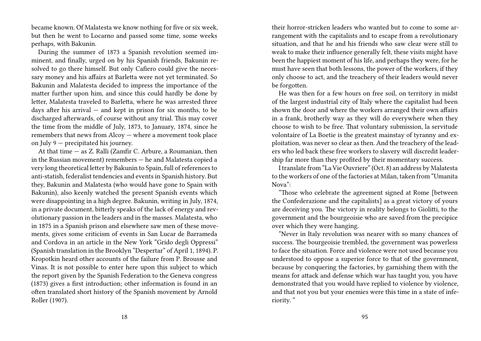became known. Of Malatesta we know nothing for five or six week, but then he went to Locarno and passed some time, some weeks perhaps, with Bakunin.

During the summer of 1873 a Spanish revolution seemed imminent, and finally, urged on by his Spanish friends, Bakunin resolved to go there himself. But only Cafiero could give the necessary money and his affairs at Barletta were not yet terminated. So Bakunin and Malatesta decided to impress the importance of the matter further upon him, and since this could hardly be done by letter, Malatesta traveled to Barletta, where he was arrested three days after his arrival  $-$  and kept in prison for six months, to be discharged afterwards, of course without any trial. This may cover the time from the middle of July, 1873, to January, 1874, since he remembers that news from Alcoy — where a movement took place on July 9 — precipitated his journey.

At that time — as Z. Ralli (Zamfir C. Arbure, a Roumanian, then in the Russian movement) remembers — he and Malatesta copied a very long theoretical letter by Bakunin to Spain, full of references to anti-statish, federalist tendencies and events in Spanish history. But they, Bakunin and Malatesta (who would have gone to Spain with Bakunin), also keenly watched the present Spanish events which were disappointing in a high degree. Bakunin, writing in July, 1874, in a private document, bitterly speaks of the lack of energy and revolutionary passion in the leaders and in the masses. Malatesta, who in 1875 in a Spanish prison and elsewhere saw men of these movements, gives some criticism of events in San Lucar de Barrameda and Cordova in an article in the New York "Grido degli Oppressi" (Spanish translation in the Brooklyn "Despertar" of April 1, 1894). P. Kropotkin heard other accounts of the failure from P. Brousse and Vinas. It is not possible to enter here upon this subject to which the report given by the Spanish Federation to the Geneva congress (1873) gives a first introduction; other information is found in an often translated short history of the Spanish movement by Arnold Roller (1907).

their horror-stricken leaders who wanted but to come to some arrangement with the capitalists and to escape from a revolutionary situation, and that he and his friends who saw clear were still to weak to make their influence generally felt, these visits might have been the happiest moment of his life, and perhaps they were, for he must have seen that both lessons, the power of the workers, if they only choose to act, and the treachery of their leaders would never be forgotten.

He was then for a few hours on free soil, on territory in midst of the largest industrial city of Italy where the capitalist had been shown the door and where the workers arranged their own affairs in a frank, brotherly way as they will do everywhere when they choose to wish to be free. That voluntary submission, la servitude volontaire of La Boetie is the greatest mainstay of tyranny and exploitation, was never so clear as then. And the treachery of the leaders who led back these free workers to slavery will discredit leadership far more than they profited by their momentary success.

I translate from "La Vie Ouvriere" (Oct. 8) an address by Malatesta to the workers of one of the factories at Milan, taken from "Umanita Nova":

"Those who celebrate the agreement signed at Rome [between the Confederazione and the capitalists] as a great victory of yours are deceiving you. The victory in reality belongs to Giolitti, to the government and the bourgeoisie who are saved from the precipice over which they were hanging.

"Never in Italy revolution was nearer with so many chances of success. The bourgeoisie trembled, the government was powerless to face the situation. Force and violence were not used because you understood to oppose a superior force to that of the government, because by conquering the factories, by garnishing them with the means for attack and defense which war has taught you, you have demonstrated that you would have replied to violence by violence, and that not you but your enemies were this time in a state of inferiority. "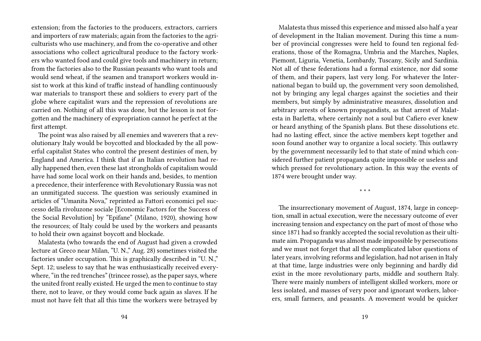extension; from the factories to the producers, extractors, carriers and importers of raw materials; again from the factories to the agriculturists who use machinery, and from the co-operative and other associations who collect agricultural produce to the factory workers who wanted food and could give tools and machinery in return; from the factories also to the Russian peasants who want tools and would send wheat, if the seamen and transport workers would insist to work at this kind of traffic instead of handling continuously war materials to transport these and soldiers to every part of the globe where capitalist wars and the repression of revolutions are carried on. Nothing of all this was done, but the lesson is not forgotten and the machinery of expropriation cannot he perfect at the first attempt.

The point was also raised by all enemies and waverers that a revolutionary Italy would be boycotted and blockaded by the all powerful capitalist States who control the present destinies of men, by England and America. I think that if an Italian revolution had really happened then, even these last strongholds of capitalism would have had some local work on their hands and, besides, to mention a precedence, their interference with Revolutionary Russia was not an unmitigated success. The question was seriously examined in articles of "Umanita Nova," reprinted as Fattori economici pel successo della rivoluzone sociale [Economic Factors for the Success of the Social Revolution] by "Epifane" (Milano, 1920), showing how the resources; of Italy could be used by the workers and peasants to hold their own against boycott and blockade.

Malatesta (who towards the end of August had given a crowded lecture at Greco near Milan, "U. N.," Aug. 28) sometimes visited the factories under occupation. This is graphically described in "U. N.," Sept. 12; useless to say that he was enthusiastically received everywhere, "in the red trenches" (trincee rosse), as the paper says, where the united front really existed. He urged the men to continue to stay there, not to leave, or they would come back again as slaves. If he must not have felt that all this time the workers were betrayed by

Malatesta thus missed this experience and missed also half a year of development in the Italian movement. During this time a number of provincial congresses were held to found ten regional federations, those of the Romagna, Umbria and the Marches, Naples, Piemont, Liguria, Venetia, Lombardy, Tuscany, Sicily and Sardinia. Not all of these federations had a formal existence, nor did some of them, and their papers, last very long. For whatever the International began to build up, the government very soon demolished, not by bringing any legal charges against the societies and their members, but simply by administrative measures, dissolution and arbitrary arrests of known propagandists, as that arrest of Malatesta in Barletta, where certainly not a soul but Cafiero ever knew or heard anything of the Spanish plans. But these dissolutions etc. had no lasting effect, since the active members kept together and soon found another way to organize a local society. This outlawry by the government necessarily led to that state of mind which considered further patient propaganda quite impossible or useless and which pressed for revolutionary action. In this way the events of 1874 were brought under way.

\* \* \*

The insurrectionary movement of August, 1874, large in conception, small in actual execution, were the necessary outcome of ever increasing tension and expectancy on the part of most of those who since 1871 had so frankly accepted the social revolution as their ultimate aim. Propaganda was almost made impossible by persecutions and we must not forget that all the complicated labor questions of later years, involving reforms and legislation, had not arisen in Italy at that time, large industries were only beginning and hardly did exist in the more revolutionary parts, middle and southern Italy. There were mainly numbers of intelligent skilled workers, more or less isolated, and masses of very poor and ignorant workers, laborers, small farmers, and peasants. A movement would be quicker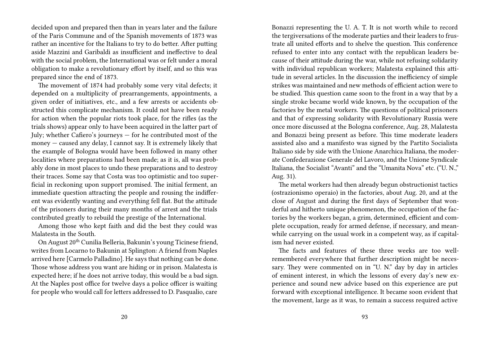decided upon and prepared then than in years later and the failure of the Paris Commune and of the Spanish movements of 1873 was rather an incentive for the Italians to try to do better. After putting aside Mazzini and Garibaldi as insufficient and ineffective to deal with the social problem, the International was or felt under a moral obligation to make a revolutionary effort by itself, and so this was prepared since the end of 1873.

The movement of 1874 had probably some very vital defects; it depended on a multiplicity of prearrangements, appointments, a given order of initiatives, etc., and a few arrests or accidents obstructed this complicate mechanism. It could not have been ready for action when the popular riots took place, for the rifles (as the trials shows) appear only to have been acquired in the latter part of July; whether Cafiero's journeys — for he contributed most of the money — caused any delay, I cannot say. It is extremely likely that the example of Bologna would have been followed in many other localities where preparations had been made; as it is, all was probably done in most places to undo these preparations and to destroy their traces. Some say that Costa was too optimistic and too superficial in reckoning upon support promised. The initial ferment, an immediate question attracting the people and rousing the indifferent was evidently wanting and everything fell flat. But the attitude of the prisoners during their many months of arrest and the trials contributed greatly to rebuild the prestige of the International.

Among those who kept faith and did the best they could was Malatesta in the South.

On August 20<sup>th</sup> Cunilia Belleria, Bakunin's young Ticinese friend, writes from Locarno to Bakunin at Splington: A friend from Naples arrived here [Carmelo Palladino]. He says that nothing can be done. Those whose address you want are hiding or in prison. Malatesta is expected here; if he does not arrive today, this would be a bad sign. At the Naples post office for twelve days a police officer is waiting for people who would call for letters addressed to D. Pasqualio, care

Bonazzi representing the U. A. T. It is not worth while to record the tergiversations of the moderate parties and their leaders to frustrate all united efforts and to shelve the question. This conference refused to enter into any contact with the republican leaders because of their attitude during the war, while not refusing solidarity with individual republican workers; Malatesta explained this attitude in several articles. In the discussion the inefficiency of simple strikes was maintained and new methods of efficient action were to be studied. This question came soon to the front in a way that by a single stroke became world wide known, by the occupation of the factories by the metal workers. The questions of political prisoners and that of expressing solidarity with Revolutionary Russia were once more discussed at the Bologna conference, Aug. 28, Malatesta and Bonazzi being present as before. This time moderate leaders assisted also and a manifesto was signed by the Partito Socialista Italiano side by side with the Unione Anarchica Italiana, the moderate Confederazione Generale del Lavoro, and the Unione Syndicale Italiana, the Socialist "Avanti" and the "Umanita Nova" etc. ("U. N.," Aug. 31).

The metal workers had then already begun obstructionist tactics (ostrazionismo operaio) in the factories, about Aug. 20, and at the close of August and during the first days of September that wonderful and hitherto unique phenomenon, the occupation of the factories by the workers began, a grim, determined, efficient and complete occupation, ready for armed defense, if necessary, and meanwhile carrying on the usual work in a competent way, as if capitalism had never existed.

The facts and features of these three weeks are too wellremembered everywhere that further description might be necessary. They were commented on in "U. N." day by day in articles of eminent interest, in which the lessons of every day's new experience and sound new advice based on this experience are put forward with exceptional intelligence. It became soon evident that the movement, large as it was, to remain a success required active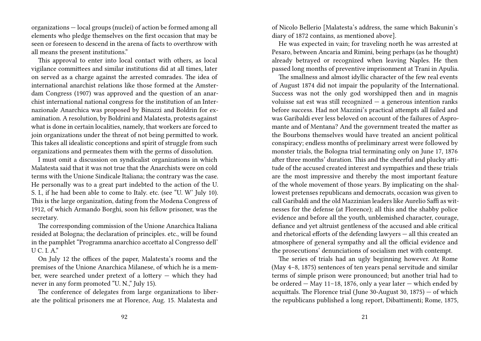organizations — local groups (nuclei) of action be formed among all elements who pledge themselves on the first occasion that may be seen or foreseen to descend in the arena of facts to overthrow with all means the present institutions."

This approval to enter into local contact with others, as local vigilance committees and similar institutions did at all times, later on served as a charge against the arrested comrades. The idea of international anarchist relations like those formed at the Amsterdam Congress (1907) was approved and the question of an anarchist international national congress for the institution of an Internazionale Anarchica was proposed by Binazzi and Boldrin for examination. A resolution, by Boldrini and Malatesta, protests against what is done in certain localities, namely, that workers are forced to join organizations under the threat of not being permitted to work. This takes all idealistic conceptions and spirit of struggle from such organizations and permeates them with the germs of dissolution.

I must omit a discussion on syndicalist organizations in which Malatesta said that it was not true that the Anarchists were on cold terms with the Unione Sindicale Italiana; the contrary was the case. He personally was to a great part indebted to the action of the U. S. I., if he had been able to come to Italy. etc. (see "U. W' July 10). This is the large organization, dating from the Modena Congress of 1912, of which Armando Borghi, soon his fellow prisoner, was the secretary.

The corresponding commission of the Unione Anarchica Italiana resided at Bologna; the declaration of principles. etc., will be found in the pamphlet "Programma anarchico accettato al Congresso dell'  $\overline{U} \overline{C} \overline{I} A$ "

On July 12 the offices of the paper, Malatesta's rooms and the premises of the Unione Anarchica Milanese, of which he is a member, were searched under pretext of a lottery — which they had never in any form promoted "U. N.," July 15).

The conference of delegates from large organizations to liberate the political prisoners me at Florence, Aug. 15. Malatesta and

of Nicolo Bellerio [Malatesta's address, the same which Bakunin's diary of 1872 contains, as mentioned above].

He was expected in vain; for traveling north he was arrested at Pesaro, between Ancaria and Rimini, being perhaps (as he thought) already betrayed or recognized when leaving Naples. He then passed long months of preventive imprisonment at Trani in Apulia.

The smallness and almost idyllic character of the few real events of August 1874 did not impair the popularity of the International. Success was not the only god worshipped then and in magnis voluisse sat est was still recognized  $-$  a generous intention ranks before success. Had not Mazzini's practical attempts all failed and was Garibaldi ever less beloved on account of the failures of Aspromante and of Mentana? And the government treated the matter as the Bourbons themselves would have treated an ancient political conspiracy; endless months of preliminary arrest were followed by monster trials, the Bologna trial terminating only on June 17, 1876 after three months' duration. This and the cheerful and plucky attitude of the accused created interest and sympathies and these trials are the most impressive and thereby the most important feature of the whole movement of those years. By implicating on the shallowest pretenses republicans and democrats, occasion was given to call Garibaldi and the old Mazzinian leaders like Aurelio Saffi as witnesses for the defense (at Florence); all this and the shabby police evidence and before all the youth, unblemished character, courage, defiance and yet altruist gentleness of the accused and able critical and rhetorical efforts of the defending lawyers — all this created an atmosphere of general sympathy and all the official evidence and the prosecutions' denunciations of socialism met with contempt.

The series of trials had an ugly beginning however. At Rome (May 4–8, 1875) sentences of ten years penal servitude and similar terms of simple prison were pronounced; but another trial had to be ordered — May 11–18, 1876, only a year later — which ended by acquittals. The Florence trial (June 30-August 30, 1875) — of which the republicans published a long report, Dibattimenti; Rome, 1875,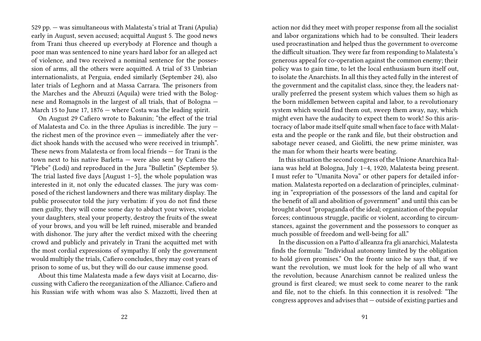529 pp. — was simultaneous with Malatesta's trial at Trani (Apulia) early in August, seven accused; acquittal August 5. The good news from Trani thus cheered up everybody at Florence and though a poor man was sentenced to nine years hard labor for an alleged act of violence, and two received a nominal sentence for the possession of arms, all the others were acquitted. A trial of 33 Umbrian internationalists, at Perguia, ended similarly (September 24), also later trials of Leghorn and at Massa Carrara. The prisoners from the Marches and the Abruzzi (Aquila) were tried with the Bolognese and Romagnols in the largest of all trials, that of Bologna — March 15 to June 17, 1876 — where Costa was the leading spirit.

On August 29 Cafiero wrote to Bakunin; "the effect of the trial of Malatesta and Co. in the three Apulias is incredible. The jury the richest men of the province even — immediately after the verdict shook hands with the accused who were received in triumph". These news from Malatesta or from local friends — for Trani is the town next to his native Barletta — were also sent by Cafiero the "Plebe" (Lodi) and reproduced in the Jura "Bulletin" (September 5). The trial lasted five days [August 1–5], the whole population was interested in it, not only the educated classes. The jury was composed of the richest landowners and there was military display. The public prosecutor told the jury verbatim: if you do not find these men guilty, they will come some day to abduct your wives, violate your daughters, steal your property, destroy the fruits of the sweat of your brows, and you will be left ruined, miserable and branded with dishonor. The jury after the verdict mixed with the cheering crowd and publicly and privately in Trani the acquitted met with the most cordial expressions of sympathy. If only the government would multiply the trials, Cafiero concludes, they may cost years of prison to some of us, but they will do our cause immense good.

About this time Malatesta made a few days visit at Locarno, discussing with Cafiero the reorganization of the Alliance. Cafiero and his Russian wife with whom was also S. Mazzotti, lived then at

action nor did they meet with proper response from all the socialist and labor organizations which had to be consulted. Their leaders used procrastination and helped thus the government to overcome the difficult situation. They were far from responding to Malatesta's generous appeal for co-operation against the common enemy; their policy was to gain time, to let the local enthusiasm burn itself out, to isolate the Anarchists. In all this they acted fully in the interest of the government and the capitalist class, since they, the leaders naturally preferred the present system which values them so high as the born middlemen between capital and labor, to a revolutionary system which would find them out, sweep them away, nay, which might even have the audacity to expect them to work! So this aristocracy of labor made itself quite small when face to face with Malatesta and the people or the rank and file, but their obstruction and sabotage never ceased, and Giolitti, the new prime minister, was the man for whom their hearts were beating.

In this situation the second congress of the Unione Anarchica Italiana was held at Bologna, July 1–4, 1920, Malatesta being present. I must refer to "Umanita Nova" or other papers for detailed information. Malatesta reported on a declaration of principles, culminating in "expropriation of the possessors of the land and capital for the benefit of all and abolition of government" and until this can be brought about "propaganda of the ideal; organization of the popular forces; continuous struggle, pacific or violent, according to circumstances, against the government and the possessors to conquer as much possible of freedom and well-being for all."

In the discussion on a Patto d'alleanza fra gli anarchici, Malatesta finds the formula: "Individual autonomy limited by the obligation to hold given promises." On the fronte unico he says that, if we want the revolution, we must look for the help of all who want the revolution, because Anarchism cannot be realized unless the ground is first cleared; we must seek to come nearer to the rank and file, not to the chiefs. In this connection it is resolved: "The congress approves and advises that — outside of existing parties and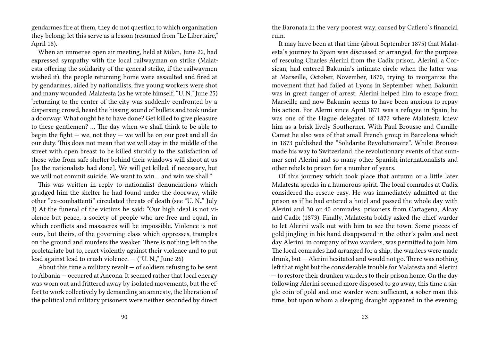gendarmes fire at them, they do not question to which organization they belong; let this serve as a lesson (resumed from "Le Libertaire," April 18).

When an immense open air meeting, held at Milan, June 22, had expressed sympathy with the local railwayman on strike (Malatesta offering the solidarity of the general strike, if the railwaymen wished it), the people returning home were assaulted and fired at by gendarmes, aided by nationalists, five young workers were shot and many wounded. Malatesta (as he wrote himself, "U. N." June 25) "returning to the center of the city was suddenly confronted by a dispersing crowd, heard the hissing sound of bullets and took under a doorway. What ought he to have done? Get killed to give pleasure to these gentlemen? … The day when we shall think to be able to begin the fight  $-$  we, not they  $-$  we will be on our post and all do our duty. This does not mean that we will stay in the middle of the street with open breast to be killed stupidly to the satisfaction of those who from safe shelter behind their windows will shoot at us [as the nationalists had done]. We will get killed, if necessary, but we will not commit suicide. We want to win… and win we shall."

This was written in reply to nationalist denunciations which grudged him the shelter he had found under the doorway, while other "ex-combattenti" circulated threats of death (see "U. N.," July 3) At the funeral of the victims he said: "Our high ideal is not violence but peace, a society of people who are free and equal, in which conflicts and massacres will be impossible. Violence is not ours, but theirs, of the governing class which oppresses, tramples on the ground and murders the weaker. There is nothing left to the proletariate but to, react violently against their violence and to put lead against lead to crush violence.  $-$  ("U. N.," June 26)

About this time a military revolt  $-$  of soldiers refusing to be sent to Albania — occurred at Ancona. It seemed rather that local energy was worn out and frittered away by isolated movements, but the effort to work collectively by demanding an amnesty, the liberation of the political and military prisoners were neither seconded by direct

the Baronata in the very poorest way, caused by Cafiero's financial ruin.

It may have been at that time (about September 1875) that Malatesta's journey to Spain was discussed or arranged, for the purpose of rescuing Charles Alerini from the Cadix prison. Alerini, a Corsican, had entered Bakunin's intimate circle when the latter was at Marseille, October, November, 1870, trying to reorganize the movement that had failed at Lyons in September. when Bakunin was in great danger of arrest, Alerini helped him to escape from Marseille and now Bakunin seems to have been anxious to repay his action. For Alerni since April 1871 was a refugee in Spain; he was one of the Hague delegates of 1872 where Malatesta knew him as a brisk lively Southerner. With Paul Brousse and Camille Camet he also was of that small French group in Barcelona which in 1873 published the "Solidarite Revolutionaire". Whilst Brousse made his way to Switzerland, the revolutionary events of that summer sent Alerini and so many other Spanish internationalists and other rebels to prison for a number of years.

Of this journey which took place that autumn or a little later Malatesta speaks in a humorous spirit. The local comrades at Cadix considered the rescue easy. He was immediately admitted at the prison as if he had entered a hotel and passed the whole day with Alerini and 30 or 40 comrades, prisoners from Cartagena, Alcay and Cadix (1873). Finally, Malatesta boldly asked the chief warder to let Alerini walk out with him to see the town. Some pieces of gold jingling in his hand disappeared in the other's palm and next day Alerini, in company of two warders, was permitted to join him. The local comrades had arranged for a ship, the warders were made drunk, but — Alerini hesitated and would not go. There was nothing left that night but the considerable trouble for Malatesta and Alerini — to restore their drunken warders to their prison home. On the day following Alerini seemed more disposed to go away, this time a single coin of gold and one warder were sufficient, a sober man this time, but upon whom a sleeping draught appeared in the evening.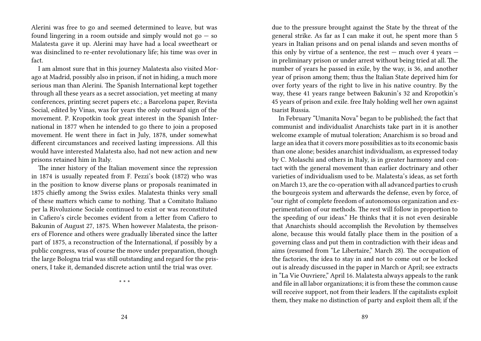Alerini was free to go and seemed determined to leave, but was found lingering in a room outside and simply would not  $\mathfrak{g}_0 - \mathfrak{so}$ Malatesta gave it up. Alerini may have had a local sweetheart or was disinclined to re-enter revolutionary life; his time was over in fact.

I am almost sure that in this journey Malatesta also visited Morago at Madrid, possibly also in prison, if not in hiding, a much more serious man than Alerini. The Spanish International kept together through all these years as a secret association, yet meeting at many conferences, printing secret papers etc.; a Barcelona paper, Revista Social, edited by Vinas, was for years the only outward sign of the movement. P. Kropotkin took great interest in the Spanish International in 1877 when he intended to go there to join a proposed movement. He went there in fact in July, 1878, under somewhat different circumstances and received lasting impressions. All this would have interested Malatesta also, had not new action and new prisons retained him in Italy.

The inner history of the Italian movement since the repression in 1874 is usually repeated from F. Pezzi's book (1872) who was in the position to know diverse plans or proposals reanimated in 1875 chiefly among the Swiss exiles. Malatesta thinks very small of these matters which came to nothing. That a Comitato Italiano per la Rivoluzione Sociale continued to exist or was reconstituted in Cafiero's circle becomes evident from a letter from Cafiero to Bakunin of August 27, 1875. When however Malatesta, the prisoners of Florence and others were gradually liberated since the latter part of 1875, a reconstruction of the International, if possibly by a public congress, was of course the move under preparation, though the large Bologna trial was still outstanding and regard for the prisoners, I take it, demanded discrete action until the trial was over.

\* \* \*

due to the pressure brought against the State by the threat of the general strike. As far as I can make it out, he spent more than 5 years in Italian prisons and on penal islands and seven months of this only by virtue of a sentence, the rest  $-$  much over 4 years  $$ in preliminary prison or under arrest without being tried at all. The number of years he passed in exile, by the way, is 36, and another year of prison among them; thus the Italian State deprived him for over forty years of the right to live in his native country. By the way, these 41 years range between Bakunin's 32 and Kropotkin's 45 years of prison and exile. free Italy holding well her own against tsarist Russia.

In February "Umanita Nova" began to be published; the fact that communist and individualist Anarchists take part in it is another welcome example of mutual toleration; Anarchism is so broad and large an idea that it covers more possibilities as to its economic basis than one alone; besides anarchist individualism, as expressed today by C. Molaschi and others in Italy, is in greater harmony and contact with the general movement than earlier doctrinary and other varieties of individualism used to be. Malatesta's ideas, as set forth on March 13, are the co-operation with all advanced parties to crush the bourgeois system and afterwards the defense, even by force, of "our right of complete freedom of autonomous organization and experimentation of our methods. The rest will follow in proportion to the speeding of our ideas." He thinks that it is not even desirable that Anarchists should accomplish the Revolution by themselves alone, because this would fatally place them in the position of a governing class and put them in contradiction with their ideas and aims (resumed from "Le Libertaire," March 28). The occupation of the factories, the idea to stay in and not to come out or be locked out is already discussed in the paper in March or April; see extracts in "La Vie Ouvriere," April 16. Malatesta always appeals to the rank and file in all labor organizations; it is from these the common cause will receive support, not from their leaders. If the capitalists exploit them, they make no distinction of party and exploit them all; if the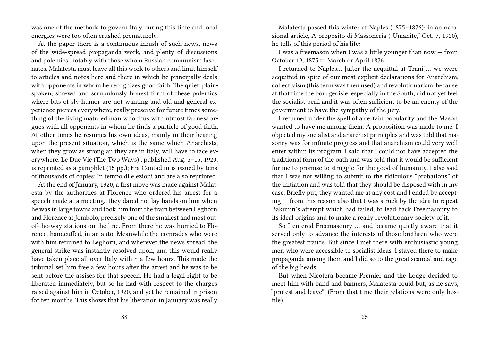was one of the methods to govern Italy during this time and local energies were too often crushed prematurely.

At the paper there is a continuous inrush of such news, news of the wide-spread propaganda work, and plenty of discussions and polemics, notably with those whom Russian communism fascinates. Malatesta must leave all this work to others and limit himself to articles and notes here and there in which he principally deals with opponents in whom he recognizes good faith. The quiet, plainspoken, shrewd and scrupulously honest form of these polemics where bits of sly humor are not wanting and old and general experience pierces everywhere, really preserve for future times something of the living matured man who thus with utmost fairness argues with all opponents in whom he finds a particle of good faith. At other times he resumes his own ideas, mainly in their bearing upon the present situation, which is the same which Anarchists, when they grow as strong an they are in Italy, will have to face everywhere. Le Due Vie (The Two Ways) , published Aug. 5–15, 1920, is reprinted as a pamphlet (15 pp.); Fra Contadini is issued by tens of thousands of copies; In tempo di elezioni and are also reprinted.

At the end of January, 1920, a first move was made against Malatesta by the authorities at Florence who ordered his arrest for a speech made at a meeting. They dared not lay hands on him when he was in large towns and took him from the train between Leghorn and Florence at Jombolo, precisely one of the smallest and most outof-the-way stations on the line. From there he was hurried to Florence. handcuffed, in an auto. Meanwhile the comrades who were with him returned to Leghorn, and wherever the news spread, the general strike was instantly resolved upon, and this would really have taken place all over Italy within a few hours. This made the tribunal set him free a few hours after the arrest and he was to be sent before the assises for that speech. He had a legal right to be liberated immediately, but so he had with respect to the charges raised against him in October, 1920, and yet he remained in prison for ten months. This shows that his liberation in January was really

Malatesta passed this winter at Naples (1875–1876); in an occasional article, A proposito di Massoneria ("Umanite," Oct. 7, 1920), he tells of this period of his life:

I was a freemason when I was a little younger than now — from October 19, 1875 to March or April 1876.

I returned to Naples… [after the acquittal at Trani]… we were acquitted in spite of our most explicit declarations for Anarchism, collectivism (this term was then used) and revolutionarism, because at that time the bourgeoisie, especially in the South, did not yet feel the socialist peril and it was often sufficient to be an enemy of the government to have the sympathy of the jury.

I returned under the spell of a certain popularity and the Mason wanted to have me among them. A proposition was made to me. I objected my socialist and anarchist principles and was told that masonry was for infinite progress and that anarchism could very well enter within its program. I said that I could not have accepted the traditional form of the oath and was told that it would be sufficient for me to promise to struggle for the good of humanity. I also said that I was not willing to submit to the ridiculous "probations" of the initiation and was told that they should be disposed with in my case. Briefly put, they wanted me at any cost and I ended by accepting — from this reason also that I was struck by the idea to repeat Bakunin's attempt which had failed, to lead back Freemasonry to its ideal origins and to make a really revolutionary society of it.

So I entered Freemasonry … and became quietly aware that it served only to advance the interests of those brethren who were the greatest frauds. But since I met there with enthusiastic young men who were accessible to socialist ideas, I stayed there to make propaganda among them and I did so to the great scandal and rage of the big heads.

But when Nicotera became Premier and the Lodge decided to meet him with band and banners, Malatesta could but, as he says, "protest and leave". (From that time their relations were only hostile).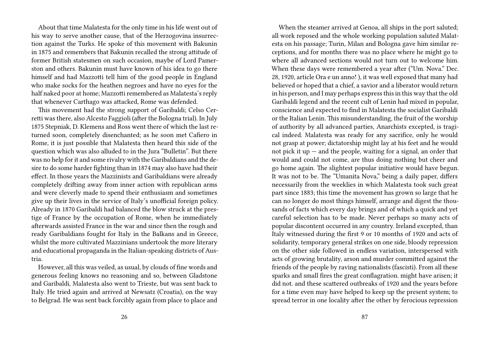About that time Malatesta for the only time in his life went out of his way to serve another cause, that of the Herzogovina insurrection against the Turks. He spoke of this movement with Bakunin in 1875 and remembers that Bakunin recalled the strong attitude of former British statesmen on such occasion, maybe of Lord Pamerston and others. Bakunin must have known of his idea to go there himself and had Mazzotti tell him of the good people in England who make socks for the heathen negroes and have no eyes for the half naked poor at home; Mazzotti remembered as Malatesta's reply that whenever Carthago was attacked, Rome was defended.

This movement had the strong support of Garibaldi; Celso Cerretti was there, also Alcesto Faggioli (after the Bologna trial). In July 1875 Stepniak, D. Klemens and Ross went there of which the last returned soon, completely disenchanted; as he soon met Cafiero in Rome, it is just possible that Malatesta then heard this side of the question which was also alluded to in the Jura "Bulletin". But there was no help for it and some rivalry with the Garibaldians and the desire to do some harder fighting than in 1874 may also have had their effect. In those years the Mazzinists and Garibaldians were already completely drifting away from inner action with republican arms and were cleverly made to spend their enthusiasm and sometimes give up their lives in the service of Italy's unofficial foreign policy. Already in 1870 Garibaldi had balanced the blow struck at the prestige of France by the occupation of Rome, when he immediately afterwards assisted France in the war and since then the rough and ready Garibaldians fought for Italy in the Balkans and in Greece, whilst the more cultivated Mazzinians undertook the more literary and educational propaganda in the Italian-speaking districts of Austria.

However, all this was veiled, as usual, by clouds of fine words and generous feeling knows no reasoning and so, between Gladstone and Garibaldi, Malatesta also went to Trieste, but was sent back to Italy. He tried again and arrived at Newsatz (Croatia), on the way to Belgrad. He was sent back forcibly again from place to place and

When the steamer arrived at Genoa, all ships in the port saluted; all work reposed and the whole working population saluted Malatesta on his passage; Turin, Milan and Bologna gave him similar receptions, and for months there was no place where he might go to where all advanced sections would not turn out to welcome him. When these days were remembered a year after ("Um. Nova." Dec. 28, 1920, article Ora e un anno! ), it was well exposed that many had believed or hoped that a chief, a savior and a liberator would return in his person, and I may perhaps express this in this way that the old Garibaldi legend and the recent cult of Lenin had mixed in popular, conscience and expected to find in Malatesta the socialist Garibaldi or the Italian Lenin. This misunderstanding, the fruit of the worship of authority by all advanced parties, Anarchists excepted, is tragical indeed. Malatesta was ready for any sacrifice, only he would not grasp at power; dictatorship might lay at his feet and he would not pick it up  $-$  and the people, waiting for a signal, an order that would and could not come, are thus doing nothing but cheer and go home again. The slightest popular initiative would have begun. It was not to be. The "Umanita Nova," being a daily paper, differs necessarily from the weeklies in which Malatesta took such great part since 1883; this time the movement has grown so large that he can no longer do most things himself, arrange and digest the thousands of facts which every day brings and of which a quick and yet careful selection has to be made. Never perhaps so many acts of popular discontent occurred in any country. Ireland excepted, than Italy witnessed during the first 9 or 10 months of 1920 and acts of solidarity, temporary general strikes on one side, bloody repression on the other side followed in endless variation, interspersed with acts of growing brutality, arson and murder committed against the friends of the people by raving nationalists (fascisti). From all these sparks and small fires the great conflagration. might have arisen; it did not. and these scattered outbreaks of 1920 and the years before for a time even may have helped to keep up the present system; to spread terror in one locality after the other by ferocious repression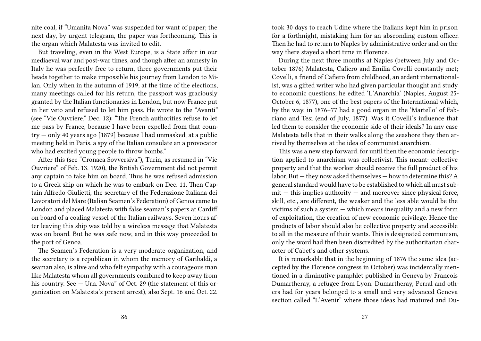nite coal, if "Umanita Nova" was suspended for want of paper; the next day, by urgent telegram, the paper was forthcoming. This is the organ which Malatesta was invited to edit.

But traveling, even in the West Europe, is a State affair in our mediaeval war and post-war times, and though after an amnesty in Italy he was perfectly free to return, three governments put their heads together to make impossible his journey from London to Milan. Only when in the autumn of 1919, at the time of the elections, many meetings called for his return, the passport was graciously granted by the Italian functionaries in London, but now France put in her veto and refused to let him pass. He wrote to the "Avanti" (see "Vie Ouvriere," Dec. 12): "The French authorities refuse to let me pass by France, because I have been expelled from that country — only 40 years ago [1879] because I had unmasked, at a public meeting held in Paris. a spy of the Italian consulate an a provocator who had excited young people to throw bombs."

After this (see "Cronaca Sovversiva"), Turin, as resumed in "Vie Ouvriere" of Feb. 13. 1920), the British Government did not permit any captain to take him on board. Thus he was refused admission to a Greek ship on which he was to embark on Dec. 11. Then Captain Alfredo Giulietti, the secretary of the Federazione Italiana dei Lavoratori del Mare (Italian Seamen's Federation) of Genoa came to London and placed Malatesta with false seaman's papers at Cardiff on board of a coaling vessel of the Italian railways. Seven hours after leaving this ship was told by a wireless message that Malatesta was on board. But he was safe now, and in this way proceeded to the port of Genoa.

The Seamen's Federation is a very moderate organization, and the secretary is a republican in whom the memory of Garibaldi, a seaman also, is alive and who felt sympathy with a courageous man like Malatesta whom all governments combined to keep away from his country. See - Urn. Nova" of Oct. 29 (the statement of this organization on Malatesta's present arrest), also Sept. 16 and Oct. 22.

took 30 days to reach Udine where the Italians kept him in prison for a forthnight, mistaking him for an absconding custom officer. Then he had to return to Naples by administrative order and on the way there stayed a short time in Florence.

During the next three months at Naples (between July and October 1876) Malatesta, Cafiero and Emilia Covelli constantly met; Covelli, a friend of Cafiero from childhood, an ardent internationalist, was a gifted writer who had given particular thought and study to economic questions; he edited 'L'Anarchia' (Naples, August 25- October 6, 1877), one of the best papers of the International which, by the way, in 1876–77 had a good organ in the 'Martello' of Fabriano and Tesi (end of July, 1877). Was it Covelli's influence that led them to consider the economic side of their ideals? In any case Malatesta tells that in their walks along the seashore they then arrived by themselves at the idea of communist anarchism.

This was a new step forward, for until then the economic description applied to anarchism was collectivist. This meant: collective property and that the worker should receive the full product of his labor. But — they now asked themselves — how to determine this? A general standard would have to be established to which all must sub $mit - this$  implies authority  $-$  and moreover since physical force, skill, etc., are different, the weaker and the less able would be the victims of such a system — which means inequality and a new form of exploitation, the creation of new economic privilege. Hence the products of labor should also be collective property and accessible to all in the measure of their wants. This is designated communism, only the word had then been discredited by the authoritarian character of Cabet's and other systems.

It is remarkable that in the beginning of 1876 the same idea (accepted by the Florence congress in October) was incidentally mentioned in a diminutive pamphlet published in Geneva by Francois Dumartheray, a refugee from Lyon. Dumartheray, Perral and others had for years belonged to a small and very advanced Geneva section called "L'Avenir" where those ideas had matured and Du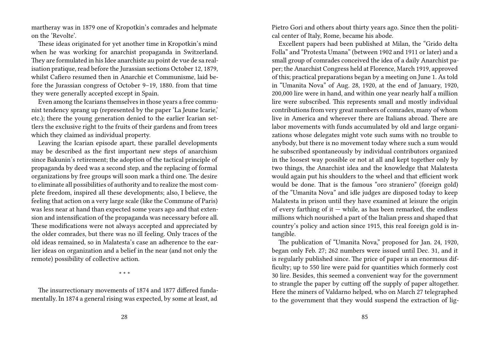martheray was in 1879 one of Kropotkin's comrades and helpmate on the 'Revolte'.

These ideas originated for yet another time in Kropotkin's mind when he was working for anarchist propaganda in Switzerland. They are formulated in his Idee anarchiste au point de vue de sa realisation pratique, read before the Jurassian sections October 12, 1879, whilst Cafiero resumed then in Anarchie et Communisme, laid before the Jurassian congress of October 9–19, 1880. from that time they were generally accepted except in Spain.

Even among the Icarians themselves in those years a free communist tendency sprang up (represented by the paper 'La Jeune Icarie,' etc.); there the young generation denied to the earlier Icarian settlers the exclusive right to the fruits of their gardens and from trees which they claimed as individual property.

Leaving the Icarian episode apart, these parallel developments may be described as the first important new steps of anarchism since Bakunin's retirement; the adoption of the tactical principle of propaganda by deed was a second step, and the replacing of formal organizations by free groups will soon mark a third one. The desire to eliminate all possibilities of authority and to realize the most complete freedom, inspired all these developments; also, I believe, the feeling that action on a very large scale (like the Commune of Paris) was less near at hand than expected some years ago and that extension and intensification of the propaganda was necessary before all. These modifications were not always accepted and appreciated by the older comrades, but there was no ill feeling. Only traces of the old ideas remained, so in Malatesta's case an adherence to the earlier ideas on organization and a belief in the near (and not only the remote) possibility of collective action.

\* \* \*

The insurrectionary movements of 1874 and 1877 differed fundamentally. In 1874 a general rising was expected, by some at least, ad

Pietro Gori and others about thirty years ago. Since then the political center of Italy, Rome, became his abode.

Excellent papers had been published at Milan, the "Grido delta Folla" and "Protesta Umana" (between 1902 and 1911 or later) and a small group of comrades conceived the idea of a daily Anarchist paper; the Anarchist Congress held at Florence, March 1919, approved of this; practical preparations began by a meeting on June 1. As told in "Umanita Nova" of Aug. 28, 1920, at the end of January, 1920, 200,000 lire were in hand, and within one year nearly half a million lire were subscribed. This represents small and mostly individual contributions from very great numbers of comrades, many of whom live in America and wherever there are Italians abroad. There are labor movements with funds accumulated by old and large organizations whose delegates might vote such sums with no trouble to anybody, but there is no movement today where such a sum would he subscribed spontaneously by individual contributors organized in the loosest way possible or not at all and kept together only by two things, the Anarchist idea and the knowledge that Malatesta would again put his shoulders to the wheel and that efficient work would be done. That is the famous "oro straniero" (foreign gold) of the "Umanita Nova" and idle judges are disposed today to keep Malatesta in prison until they have examined at leisure the origin of every farthing of it  $-$  while, as has been remarked, the endless millions which nourished a part of the Italian press and shaped that country's policy and action since 1915, this real foreign gold is intangible.

The publication of "Umanita Nova," proposed for Jan. 24, 1920, began only Feb. 27; 262 numbers were issued until Dec. 31, and it is regularly published since. The price of paper is an enormous difficulty; up to 550 lire were paid for quantities which formerly cost 30 lire. Besides, this seemed a convenient way for the government to strangle the paper by cutting off the supply of paper altogether. Here the miners of Valdarno helped, who on March 27 telegraphed to the government that they would suspend the extraction of lig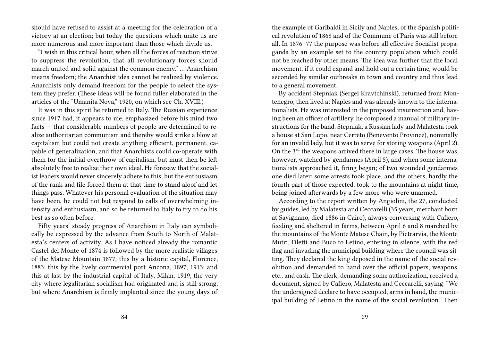should have refused to assist at a meeting for the celebration of a victory at an election; but today the questions which unite us are more numerous and more important than those which divide us.

"I wish in this critical hour, when all the forces of reaction strive to suppress the revolution, that all revolutionary forces should march united and solid against the common enemy." … Anarchism means freedom; the Anarchist idea cannot be realized by violence. Anarchists only demand freedom for the people to select the system they prefer. (These ideas will be found fuller elaborated in the articles of the "Umanita Nova," 1920, on which see Ch. XVIII.)

It was in this spirit he returned to Italy. The Russian experience since 1917 had, it appears to me, emphasized before his mind two facts — that considerable numbers of people are determined to realize authoritarian communism and thereby would strike a blow at capitalism but could not create anything efficient, permanent, capable of generalization, and that Anarchists could co-operate with them for the initial overthrow of capitalism, but must then be left absolutely free to realize their own ideal. He foresaw that the socialist leaders would never sincerely adhere to this, but the enthusiasm of the rank and file forced them at that time to stand aloof and let things pass. Whatever his personal evaluation of the situation may have been, he could not but respond to calls of overwhelming intensity and enthusiasm, and so he returned to Italy to try to do his best as so often before.

Fifty years' steady progress of Anarchism in Italy can symbolically be expressed by the advance from South to North of Malatesta's centers of activity. As I have noticed already the romantic Castel del Monte of 1874 is followed by the more realistic villages of the Matese Mountain 1877, this by a historic capital, Florence, 1883; this by the lively commercial port Ancona, 1897, 1913; and this at last by the industrial capital of Italy, Milan, 1919, the very city where legalitarian socialism had originated and is still strong, but where Anarchism is firmly implanted since the young days of

the example of Garibaldi in Sicily and Naples, of the Spanish political revolution of 1868 and of the Commune of Paris was still before all. In 1876–77 the purpose was before all effective Socialist propaganda by an example set to the country population which could not be reached by other means. The idea was further that the local movement, if it could expand and hold out a certain time, would be seconded by similar outbreaks in town and country and thus lead to a general movement.

By accident Stepniak (Sergei Kravtchinski), returned from Montenegro, then lived at Naples and was already known to the internationalists. He was interested in the proposed insurrection and, having been an officer of artillery, he composed a manual of military instructions for the band. Stepniak, a Russian lady and Malatesta took a house at San Lupo, near Cerreto (Benevento Province), nominally for an invalid lady, but it was to serve for storing weapons (April 2). On the  $3<sup>rd</sup>$  the weapons arrived there in large cases. The house was, however, watched by gendarmes (April 5), and when some internationalists approached it, firing began; of two wounded gendarmes one died later; some arrests took place, and the others, hardly the fourth part of those expected, took to the mountains at night time, being joined afterwards by a few more who were unarmed.

According to the report written by Angiolini, the 27, conducted by guides, led by Malatesta and Ceccarelli (35 years, merchant born at Savignano, died 1886 in Cairo), always conversing with Cafiero, feeding and sheltered in farms, between April 6 and 8 marched by the mountains of the Monte Matese Chain, by Pietrarvia, the Monte Mutri, Filetti and Buco to Letino, entering in silence, with the red flag and invading the municipal building where the council was sitting. They declared the king deposed in the name of the social revolution and demanded to hand over the official papers, weapons, etc., and cash. The clerk, demanding some authorization, received a document, signed by Cafiero, Malatesta and Ceccarelli, saying: "We the undersigned declare to have occupied, arms in hand, the municipal building of Letino in the name of the social revolution." Then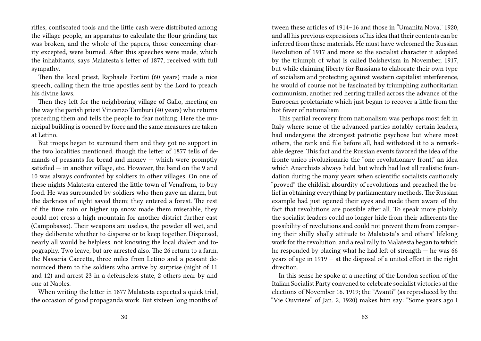rifles, confiscated tools and the little cash were distributed among the village people, an apparatus to calculate the flour grinding tax was broken, and the whole of the papers, those concerning charity excepted, were burned. After this speeches were made, which the inhabitants, says Malatesta's letter of 1877, received with full sympathy.

Then the local priest, Raphaele Fortini (60 years) made a nice speech, calling them the true apostles sent by the Lord to preach his divine laws.

Then they left for the neighboring village of Gallo, meeting on the way the parish priest Vincenzo Tamburi (40 years) who returns preceding them and tells the people to fear nothing. Here the municipal building is opened by force and the same measures are taken at Letino.

But troops began to surround them and they got no support in the two localities mentioned, though the letter of 1877 tells of demands of peasants for bread and money — which were promptly satisfied — in another village, etc. However, the band on the 9 and 10 was always confronted by soldiers in other villages. On one of these nights Malatesta entered the little town of Venafrom, to buy food. He was surrounded by soldiers who then gave an alarm, but the darkness of night saved them; they entered a forest. The rest of the time rain or higher up snow made them miserable, they could not cross a high mountain for another district further east (Campobasso). Their weapons are useless, the powder all wet, and they deliberate whether to disperse or to keep together. Dispersed, nearly all would be helpless, not knowing the local dialect and topography. Two leave, but are arrested also. The 26 return to a farm, the Nasseria Caccetta, three miles from Letino and a peasant denounced them to the soldiers who arrive by surprise (night of 11 and 12) and arrest 23 in a defenseless state, 2 others near by and one at Naples.

When writing the letter in 1877 Malatesta expected a quick trial, the occasion of good propaganda work. But sixteen long months of tween these articles of 1914–16 and those in "Umanita Nova," 1920, and all his previous expressions of his idea that their contents can be inferred from these materials. He must have welcomed the Russian Revolution of 1917 and more so the socialist character it adopted by the triumph of what is called Bolshevism in November, 1917, but while claiming liberty for Russians to elaborate their own type of socialism and protecting against western capitalist interference, he would of course not be fascinated by triumphing authoritarian communism, another red herring trailed across the advance of the European proletariate which just began to recover a little from the hot fever of nationalism

This partial recovery from nationalism was perhaps most felt in Italy where some of the advanced parties notably certain leaders, had undergone the strongest patriotic psychose but where most others, the rank and file before all, had withstood it to a remarkable degree. This fact and the Russian events favored the idea of the fronte unico rivoluzionario the "one revolutionary front," an idea which Anarchists always held, but which had lost all realistic foundation during the many years when scientific socialists cautiously "proved" the childish absurdity of revolutions and preached the belief in obtaining everything by parliamentary methods. The Russian example had just opened their eyes and made them aware of the fact that revolutions are possible after all. To speak more plainly, the socialist leaders could no longer hide from their adherents the possibility of revolutions and could not prevent them from comparing their shilly shally attitude to Malatesta's and others' lifelong work for the revolution, and a real rally to Malatesta began to which he responded by placing what he had left of strength — he was 66 years of age in 1919 — at the disposal of a united effort in the right direction.

In this sense he spoke at a meeting of the London section of the Italian Socialist Party convened to celebrate socialist victories at the elections of November 16. 1919; the "Avanti" (as reproduced by the "Vie Ouvriere" of Jan. 2, 1920) makes him say: "Some years ago I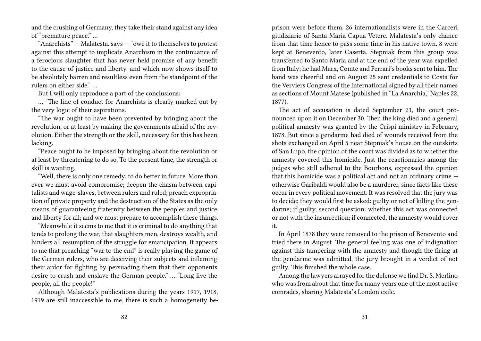and the crushing of Germany, they take their stand against any idea of "premature peace." …

"Anarchists"  $-$  Malatesta. says  $-$  "owe it to themselves to protest against this attempt to implicate Anarchism in the continuance of a ferocious slaughter that has never held promise of any benefit to the cause of justice and liberty. and which now shows itself to be absolutely barren and resultless even from the standpoint of the rulers on either side"

But I will only reproduce a part of the conclusions:

… "The line of conduct for Anarchists is clearly marked out by the very logic of their aspirations.

"The war ought to have been prevented by bringing about the revolution, or at least by making the governments afraid of the revolution. Either the strength or the skill, necessary for this has been lacking.

"Peace ought to be imposed by bringing about the revolution or at least by threatening to do so. To the present time, the strength or skill is wanting.

"Well, there is only one remedy: to do better in future. More than ever we must avoid compromise; deepen the chasm between capitalists and wage-slaves, between rulers and ruled; preach expropriation of private property and the destruction of the States as the only means of guaranteeing fraternity between the peoples and justice and liberty for all; and we must prepare to accomplish these things.

"Meanwhile it seems to me that it is criminal to do anything that tends to prolong the war, that slaughters men, destroys wealth, and hinders all resumption of the struggle for emancipation. It appears to me that preaching "war to the end" is really playing the game of the German rulers, who are deceiving their subjects and inflaming their ardor for fighting by persuading them that their opponents desire to crush and enslave the German people." … "Long live the people, all the people!"

Although Malatesta's publications during the years 1917, 1918, 1919 are still inaccessible to me, there is such a homogeneity beprison were before them. 26 internationalists were in the Carceri giudiziarie of Santa Maria Capua Vetere. Malatesta's only chance from that time hence to pass some time in his native town. 8 were kept at Benevento, later Caserta. Stepniak from this group was transferred to Santo Maria and at the end of the year was expelled from Italy; he had Marx, Comte and Ferrari's books sent to him. The band was cheerful and on August 25 sent credentials to Costa for the Verviers Congress of the International signed by all their names as sections of Mount Matese (published in "La Anarchia," Naples 22, 1877).

The act of accusation is dated September 21, the court pronounced upon it on December 30. Then the king died and a general political amnesty was granted by the Crispi ministry in February, 1878. But since a gendarme had died of wounds received from the shots exchanged on April 5 near Stepniak's house on the outskirts of San Lupo, the opinion of the court was divided as to whether the amnesty covered this homicide. Just the reactionaries among the judges who still adhered to the Bourbons, expressed the opinion that this homicide was a political act and not an ordinary crime otherwise Garibaldi would also be a murderer, since facts like these occur in every political movement. It was resolved that the jury was to decide; they would first be asked: guilty or not of killing the gendarme; if guilty, second question: whether this act was connected or not with the insurrection; if connected, the amnesty would cover it.

In April 1878 they were removed to the prison of Benevento and tried there in August. The general feeling was one of indignation against this tampering with the amnesty and though the firing at the gendarme was admitted, the jury brought in a verdict of not guilty. This finished the whole case.

Among the lawyers arrayed for the defense we find Dr. S. Merlino who was from about that time for many years one of the most active comrades, sharing Malatesta's London exile.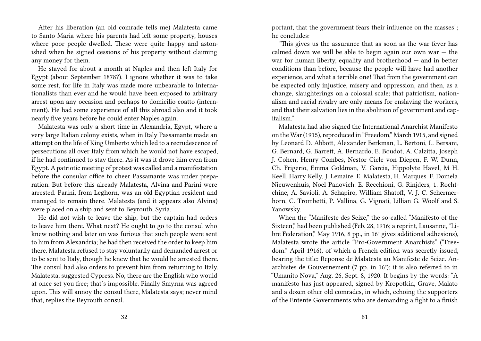After his liberation (an old comrade tells me) Malatesta came to Santo Maria where his parents had left some property, houses where poor people dwelled. These were quite happy and astonished when he signed cessions of his property without claiming any money for them.

He stayed for about a month at Naples and then left Italy for Egypt (about September 1878?). I ignore whether it was to take some rest, for life in Italy was made more unbearable to Internationalists than ever and he would have been exposed to arbitrary arrest upon any occasion and perhaps to domicilio coatto (internment). He had some experience of all this abroad also and it took nearly five years before he could enter Naples again.

Malatesta was only a short time in Alexandria, Egypt, where a very large Italian colony exists, when in Italy Passamante made an attempt on the life of King Umberto which led to a recrudescence of persecutions all over Italy from which he would not have escaped, if he had continued to stay there. As it was it drove him even from Egypt. A patriotic meeting of protest was called and a manifestation before the consular office to cheer Passamante was under preparation. But before this already Malatesta, Alvina and Parini were arrested. Parini, from Leghorn, was an old Egyptian resident and managed to remain there. Malatesta (and it appears also Alvina) were placed on a ship and sent to Beyrouth, Syria.

He did not wish to leave the ship, but the captain had orders to leave him there. What next? He ought to go to the consul who knew nothing and later on was furious that such people were sent to him from Alexandria; he had then received the order to keep him there. Malatesta refused to stay voluntarily and demanded arrest or to be sent to Italy, though he knew that he would be arrested there. The consul had also orders to prevent him from returning to Italy. Malatesta, suggested Cypress. No, there are the English who would at once set you free; that's impossible. Finally Smyrna was agreed upon. This will annoy the consul there, Malatesta says; never mind that, replies the Beyrouth consul.

portant, that the government fears their influence on the masses"; he concludes:

"This gives us the assurance that as soon as the war fever has calmed down we will be able to begin again our own war  $-$  the war for human liberty, equality and brotherhood — and in better conditions than before, because the people will have had another experience, and what a terrible one! That from the government can be expected only injustice, misery and oppression, and then, as a change, slaughterings on a colossal scale; that patriotism, nationalism and racial rivalry are only means for enslaving the workers, and that their salvation lies in the abolition of government and capitalism."

Malatesta had also signed the International Anarchist Manifesto on the War (1915), reproduced in "Freedom," March 1915, and signed by Leonard D. Abbott, Alexander Berkman, L. Bertoni, L. Bersani, G. Bernard, G. Barrett, A. Bernardo, E. Boudot, A. Calzitta, Joseph J. Cohen, Henry Combes, Nestor Ciele von Diepen, F. W. Dunn, Ch. Frigerio, Emma Goldman, V. Garcia, Hippolyte Havel, M H. Keell, Harry Kelly, J. Lemaire, E. Malatesta, H. Marques. F. Domela Nieuwenhuis, Noel Panovich. E. Recchioni, G. Rinjders, 1. Rochtchine, A. Savioli, A. Schapiro, William Shatoff, V. J. C. Schermerhorn, C. Trombetti, P. Vallina, G. Vignati, Lillian G. Woolf and S. Yanowsky.

When the "Manifeste des Seize," the so-called "Manifesto of the Sixteen," had been published (Feb. 28, 1916; a reprint, Lausanne, "Libre Federation," May 1916, 8 pp., in 16° gives additional adhesions), Malatesta wrote the article "Pro-Government Anarchists" ("Freedom." April 1916), of which a French edition was secretly issued, bearing the title: Reponse de Malatesta au Manifeste de Seize. Anarchistes de Gouvernement (7 pp. in 16°); it is also referred to in "Umanito Nova," Aug. 26, Sept. 8, 1920. It begins by the words: "A manifesto has just appeared, signed by Kropotkin, Grave, Malato and a dozen other old comrades, in which, echoing the supporters of the Entente Governments who are demanding a fight to a finish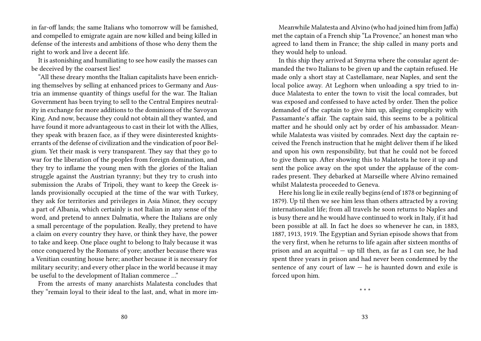in far-off lands; the same Italians who tomorrow will be famished, and compelled to emigrate again are now killed and being killed in defense of the interests and ambitions of those who deny them the right to work and live a decent life.

It is astonishing and humiliating to see how easily the masses can be deceived by the coarsest lies!

"All these dreary months the Italian capitalists have been enriching themselves by selling at enhanced prices to Germany and Austria an immense quantity of things useful for the war. The Italian Government has been trying to sell to the Central Empires neutrality in exchange for more additions to the dominions of the Savoyan King. And now, because they could not obtain all they wanted, and have found it more advantageous to cast in their lot with the Allies, they speak with brazen face, as if they were disinterested knightserrants of the defense of civilization and the vindication of poor Belgium. Yet their mask is very transparent. They say that they go to war for the liberation of the peoples from foreign domination, and they try to inflame the young men with the glories of the Italian struggle against the Austrian tyranny; but they try to crush into submission the Arabs of Tripoli, they want to keep the Greek islands provisionally occupied at the time of the war with Turkey, they ask for territories and privileges in Asia Minor, they occupy a part of Albania, which certainly is not Italian in any sense of the word, and pretend to annex Dalmatia, where the Italians are only a small percentage of the population. Really, they pretend to have a claim on every country they have, or think they have, the power to take and keep. One place ought to belong to Italy because it was once conquered by the Romans of yore; another because there was a Venitian counting house here; another because it is necessary for military security; and every other place in the world because it may be useful to the development of Italian commerce …"

From the arrests of many anarchists Malatesta concludes that they "remain loyal to their ideal to the last, and, what in more im-

Meanwhile Malatesta and Alvino (who had joined him from Jaffa) met the captain of a French ship "La Provence," an honest man who agreed to land them in France; the ship called in many ports and they would help to unload.

In this ship they arrived at Smyrna where the consular agent demanded the two Italians to be given up and the captain refused. He made only a short stay at Castellamare, near Naples, and sent the local police away. At Leghorn when unloading a spy tried to induce Malatesta to enter the town to visit the local comrades, but was exposed and confessed to have acted by order. Then the police demanded of the captain to give him up, alleging complicity with Passamante's affair. The captain said, this seems to be a political matter and he should only act by order of his ambassador. Meanwhile Malatesta was visited by comrades. Next day the captain received the French instruction that he might deliver them if he liked and upon his own responsibility, but that he could not be forced to give them up. After showing this to Malatesta he tore it up and sent the police away on the spot under the applause of the comrades present. They debarked at Marseille where Alvino remained whilst Malatesta proceeded to Geneva.

Here his long lie in exile really begins (end of 1878 or beginning of 1879). Up til then we see him less than others attracted by a roving internationalist life; from all travels he soon returns to Naples and is busy there and he would have continued to work in Italy, if it had been possible at all. In fact he does so whenever he can, in 1883, 1887, 1913, 1919. The Egyptian and Syrian episode shows that from the very first, when he returns to life again after sixteen months of prison and an acquittal — up till then, as far as I can see, he had spent three years in prison and had never been condemned by the sentence of any court of law  $-$  he is haunted down and exile is forced upon him.

\* \* \*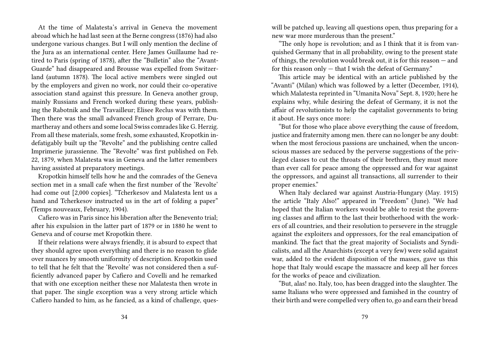At the time of Malatesta's arrival in Geneva the movement abroad which he had last seen at the Berne congress (1876) had also undergone various changes. But I will only mention the decline of the Jura as an international center. Here James Guillaume had retired to Paris (spring of 1878), after the "Bulletin" also the "Avant-Guarde" had disappeared and Brousse was expelled from Switzerland (autumn 1878). The local active members were singled out by the employers and given no work, nor could their co-operative association stand against this pressure. In Geneva another group, mainly Russians and French worked during these years, publishing the Rabotnik and the Travailleur; Elisee Reclus was with them. Then there was the small advanced French group of Perrare, Dumartheray and others and some local Swiss comrades like G. Herzig. From all these materials, some fresh, some exhausted, Kropotkin indefatigably built up the "Revolte" and the publishing centre called Imprimerie jurassienne. The "Revolte" was first published on Feb. 22, 1879, when Malatesta was in Geneva and the latter remembers having assisted at preparatory meetings.

Kropotkin himself tells how he and the comrades of the Geneva section met in a small cafe when the first number of the 'Revolte' had come out [2,000 copies]. "Tcherkesov and Malatesta lent us a hand and Tcherkesov instructed us in the art of folding a paper" (Temps nouveaux, February, 1904).

Cafiero was in Paris since his liberation after the Benevento trial; after his expulsion in the latter part of 1879 or in 1880 he went to Geneva and of course met Kropotkin there.

If their relations were always friendly, it is absurd to expect that they should agree upon everything and there is no reason to glide over nuances by smooth uniformity of description. Kropotkin used to tell that he felt that the 'Revolte' was not considered then a sufficiently advanced paper by Cafiero and Covelli and he remarked that with one exception neither these nor Malatesta then wrote in that paper. The single exception was a very strong article which Cafiero handed to him, as he fancied, as a kind of challenge, queswill be patched up, leaving all questions open, thus preparing for a new war more murderous than the present."

"The only hope is revolution; and as I think that it is from vanquished Germany that in all probability, owing to the present state of things, the revolution would break out, it is for this reason — and for this reason only — that I wish the defeat of Germany."

This article may be identical with an article published by the "Avanti" (Milan) which was followed by a letter (December, 1914), which Malatesta reprinted in "Umanita Nova" Sept. 8, 1920; here he explains why, while desiring the defeat of Germany, it is not the affair of revolutionists to help the capitalist governments to bring it about. He says once more:

"But for those who place above everything the cause of freedom, justice and fraternity among men. there can no longer be any doubt: when the most ferocious passions are unchained, when the unconscious masses are seduced by the perverse suggestions of the privileged classes to cut the throats of their brethren, they must more than ever call for peace among the oppressed and for war against the oppressors, and against all transactions, all surrender to their proper enemies."

When Italy declared war against Austria-Hungary (May. 1915) the article "Italy Also!" appeared in "Freedom" (June). "We had hoped that the Italian workers would be able to resist the governing classes and affirm to the last their brotherhood with the workers of all countries, and their resolution to persevere in the struggle against the exploiters and oppressors, for the real emancipation of mankind. The fact that the great majority of Socialists and Syndicalists, and all the Anarchists (except a very few) were solid against war, added to the evident disposition of the masses, gave us this hope that Italy would escape the massacre and keep all her forces for the works of peace and civilization.

"But, alas! no. Italy, too, has been dragged into the slaughter. The same Italians who were oppressed and famished in the country of their birth and were compelled very often to, go and earn their bread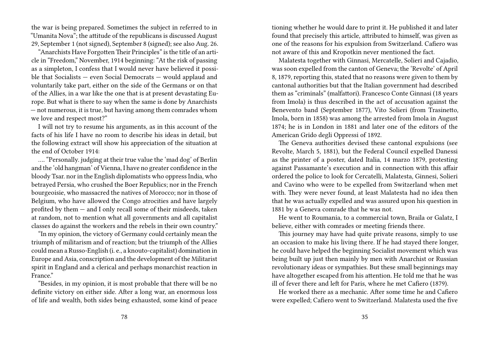the war is being prepared. Sometimes the subject in referred to in "Umanita Nova"; the attitude of the republicans is discussed August 29, September 1 (not signed), September 8 (signed); see also Aug. 26.

"Anarchists Have Forgotten Their Principles" is the title of an article in "Freedom," November, 1914 beginning: "At the risk of passing as a simpleton, I confess that I would never have believed it possible that Socialists — even Social Democrats — would applaud and voluntarily take part, either on the side of the Germans or on that of the Allies, in a war like the one that is at present devastating Europe. But what is there to say when the same is done by Anarchists — not numerous, it is true, but having among them comrades whom we love and respect most?"

I will not try to resume his arguments, as in this account of the facts of his life I have no room to describe his ideas in detail, but the following extract will show his appreciation of the situation at the end of October 1914:

…. "Personally. judging at their true value the 'mad dog' of Berlin and the 'old hangman' of Vienna, I have no greater confidence in the bloody Tsar. nor in the English diplomatists who oppress India, who betrayed Persia, who crushed the Boer Republics; nor in the French bourgeoisie, who massacred the natives of Morocco; nor in those of Belgium, who have allowed the Congo atrocities and have largely profited by them — and I only recall some of their misdeeds, taken at random, not to mention what all governments and all capitalist classes do against the workers and the rebels in their own country."

"In my opinion, the victory of Germany could certainly mean the triumph of militarism and of reaction; but the triumph of the Allies could mean a Russo-English (i. e., a knouto-capitalist) domination in Europe and Asia, conscription and the development of the Militarist spirit in England and a clerical and perhaps monarchist reaction in France"

"Besides, in my opinion, it is most probable that there will be no definite victory on either side. After a long war, an enormous loss of life and wealth, both sides being exhausted, some kind of peace tioning whether he would dare to print it. He published it and later found that precisely this article, attributed to himself, was given as one of the reasons for his expulsion from Switzerland. Cafiero was not aware of this and Kropotkin never mentioned the fact.

Malatesta together with Ginnasi, Mercatelle, Solieri and Cajadio, was soon expelled from the canton of Geneva; the 'Revolte' of April 8, 1879, reporting this, stated that no reasons were given to them by cantonal authorities but that the Italian government had described them as "criminals" (malfattori). Francesco Conte Ginnasi (18 years from Imola) is thus described in the act of accusation against the Benevento band (September 1877), Vito Solieri (from Trasinetto, Imola, born in 1858) was among the arrested from Imola in August 1874; he is in London in 1881 and later one of the editors of the American Grido degli Oppressi of 1892.

The Geneva authorities devised these cantonal expulsions (see Revolte, March 5, 1881), but the Federal Council expelled Danessi as the printer of a poster, dated Italia, 14 marzo 1879, protesting against Passamante's execution and in connection with this affair ordered the police to look for Cercatelli, Malatesta, Ginnesi, Solieri and Cavino who were to be expelled from Switzerland when met with. They were never found, at least Malatesta had no idea then that he was actually expelled and was assured upon his question in 1881 by a Geneva comrade that he was not.

He went to Roumania, to a commercial town, Braila or Galatz, I believe, either with comrades or meeting friends there.

This journey may have had quite private reasons, simply to use an occasion to make his living there. If he had stayed there longer, he could have helped the beginning Socialist movement which was being built up just then mainly by men with Anarchist or Russian revolutionary ideas or sympathies. But these small beginnings may have altogether escaped from his attention. He told me that he was ill of fever there and left for Paris, where he met Cafiero (1879).

He worked there as a mechanic. After some time he and Cafiero were expelled; Cafiero went to Switzerland. Malatesta used the five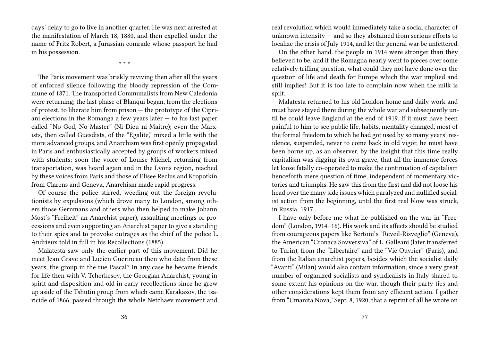days' delay to go to live in another quarter. He was next arrested at the manifestation of March 18, 1880, and then expelled under the name of Fritz Robert, a Jurassian comrade whose passport he had in his possession.

\* \* \*

The Paris movement was briskly reviving then after all the years of enforced silence following the bloody repression of the Commune of 1871. The transported Communalists from New Caledonia were returning; the last phase of Blanqui began, from the elections of protest, to liberate him from prison — the prototype of the Cipriani elections in the Romanga a few years later  $-$  to his last paper called "No God, No Master" (Ni Dieu ni Maitre); even the Marxists, then called Guesdists, of the "Egalite," mixed a little with the more advanced groups, and Anarchism was first openly propagated in Paris and enthusiastically accepted by groups of workers mixed with students; soon the voice of Louise Michel, returning from transportation, was heard again and in the Lyons region, reached by these voices from Paris and those of Elisee Reclus and Kropotkin from Clarens and Geneva, Anarchism made rapid progress.

Of course the police stirred, weeding out the foreign revolutionists by expulsions (which drove many to London, among others those Gernmans and others who then helped to make Johann Most's "Freiheit" an Anarchist paper), assaulting meetings or processions and even supporting an Anarchist paper to give a standing to their spies and to provoke outrages as the chief of the police L. Andrieux told in full in his Recollections (1885).

Malatesta saw only the earlier part of this movement. Did he meet Jean Grave and Lucien Guerineau then who date from these years, the group in the rue Pascal? In any case he became friends for life then with V. Tcherkesov, the Georgian Anarchist, young in spirit and disposition and old in early recollections since he grew up aside of the Tshutin group from which came Karakazov, the tsaricide of 1866, passed through the whole Netchaev movement and

real revolution which would immediately take a social character of unknown intensity  $-$  and so they abstained from serious efforts to localize the crisis of July 1914, and let the general war be unfettered.

On the other hand. the people in 1914 were stronger than they believed to be, and if the Romagna nearly went to pieces over some relatively trifling question, what could they not have done over the question of life and death for Europe which the war implied and still implies! But it is too late to complain now when the milk is spilt.

Malatesta returned to his old London home and daily work and must have stayed there during the whole war and subsequently until he could leave England at the end of 1919. If it must have been painful to him to see public life, habits, mentality changed, most of the formal freedom to which he had got used by so many years' residence, suspended, never to come back in old vigor, he must have been borne up, as an observer, by the insight that this time really capitalism was digging its own grave, that all the immense forces let loose fatally co-operated to make the continuation of capitalism henceforth mere question of time, independent of momentary victories and triumphs. He saw this from the first and did not loose his head over the many side issues which paralyzed and nullified socialist action from the beginning, until the first real blow was struck, in Russia, 1917.

I have only before me what he published on the war in "Freedom" (London, 1914–16). His work and its affects should be studied from courageous papers like Bertoni's "Reveil-Risveglio" (Geneva), the American "Cronaca Sovversiva" of L. Galleani (later transferred to Turin), from the "Libertaire" and the "Vie Ouvrier" (Paris), and from the Italian anarchist papers, besides which the socialist daily "Avanti" (Milan) would also contain information, since a very great number of organized socialists and syndicalists in Italy shared to some extent his opinions on the war, though their party ties and other considerations kept them from any efficient action. I gather from "Umanita Nova," Sept. 8, 1920, that a reprint of all he wrote on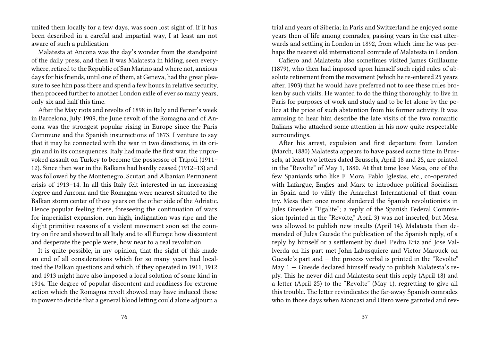united them locally for a few days, was soon lost sight of. If it has been described in a careful and impartial way, I at least am not aware of such a publication.

Malatesta at Ancona was the day's wonder from the standpoint of the daily press, and then it was Malatesta in hiding, seen everywhere, retired to the Republic of San Marino and where not, anxious days for his friends, until one of them, at Geneva, had the great pleasure to see him pass there and spend a few hours in relative security, then proceed further to another London exile of ever so many years, only six and half this time.

After the May riots and revolts of 1898 in Italy and Ferrer's week in Barcelona, July 1909, the June revolt of the Romagna and of Ancona was the strongest popular rising in Europe since the Paris Commune and the Spanish insurrections of 1873. I venture to say that it may be connected with the war in two directions, in its origin and in its consequences. Italy had made the first war, the unprovoked assault on Turkey to become the possessor of Tripoli (1911– 12). Since then war in the Balkans had hardly ceased (1912–13) and was followed by the Montenegro, Scutari and Albanian Permanent crisis of 1913–14. In all this Italy felt interested in an increasing degree and Ancona and the Romagna were nearest situated to the Balkan storm center of these years on the other side of the Adriatic. Hence popular feeling there, foreseeing the continuation of wars for imperialist expansion, run high, indignation was ripe and the slight primitive reasons of a violent movement soon set the country on fire and showed to all Italy and to all Europe how discontent and desperate the people were, how near to a real revolution.

It is quite possible, in my opinion, that the sight of this made an end of all considerations which for so many years had localized the Balkan questions and which, if they operated in 1911, 1912 and 1913 might have also imposed a local solution of some kind in 1914. The degree of popular discontent and readiness for extreme action which the Romagna revolt showed may have induced those in power to decide that a general blood letting could alone adjourn a

trial and years of Siberia; in Paris and Switzerland he enjoyed some years then of life among comrades, passing years in the east afterwards and settling in London in 1892, from which time he was perhaps the nearest old international comrade of Malatesta in London.

Cafiero and Malatesta also sometimes visited James Guillaume (1879), who then had imposed upon himself such rigid rules of absolute retirement from the movement (which he re-entered 25 years after, 1903) that he would have preferred not to see these rules broken by such visits. He wanted to do the thing thoroughly, to live in Paris for purposes of work and study and to be let alone by the police at the price of such abstention from his former activity. It was amusing to hear him describe the late visits of the two romantic Italians who attached some attention in his now quite respectable surroundings.

After his arrest, expulsion and first departure from London (March, 1880) Malatesta appears to have passed some time in Brussels, at least two letters dated Brussels, April 18 and 25, are printed in the "Revolte" of May 1, 1880. At that time Jose Mesa, one of the few Spaniards who like F. Mora, Pablo Iglesias, etc., co-operated with Lafargue, Engles and Marx to introduce political Socialism in Spain and to vilify the Anarchist International of that country. Mesa then once more slandered the Spanish revolutionists in Jules Guesde's "Egalite"; a reply of the Spanish Federal Commission (printed in the "Revolte," April 3) was not inserted, but Mesa was allowed to publish new insults (April 14). Malatesta then demanded of Jules Guesde the publication of the Spanish reply, of a reply by himself or a settlement by duel. Pedro Eriz and Jose Vallverda on his part met John Labusquiere and Victor Marouck on Guesde's part and — the process verbal is printed in the "Revolte" May 1 — Guesde declared himself ready to publish Malatesta's reply. This he never did and Malatesta sent this reply (April 18) and a letter (April 25) to the "Revolte" (May 1), regretting to give all this trouble. The letter revindicates the far-away Spanish comrades who in those days when Moncasi and Otero were garroted and rev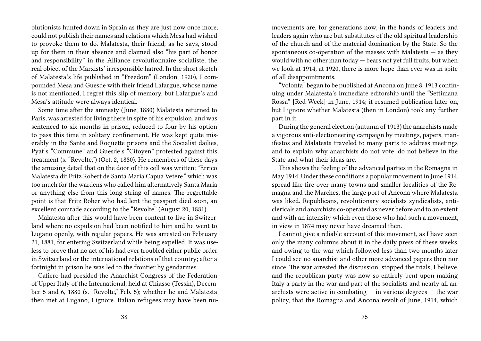olutionists hunted down in Sprain as they are just now once more, could not publish their names and relations which Mesa had wished to provoke them to do. Malatesta, their friend, as he says, stood up for them in their absence and claimed also "his part of honor and responsibility" in the Alliance revolutionnaire socialiste, the real object of the Marxists' irresponsible hatred. In the short sketch of Malatesta's life published in "Freedom" (London, 1920), I compounded Mesa and Guesde with their friend Lafargue, whose name is not mentioned, I regret this slip of memory, but Lafargue's and Mesa's attitude were always identical.

Some time after the amnesty (June, 1880) Malatesta returned to Paris, was arrested for living there in spite of his expulsion, and was sentenced to six months in prison, reduced to four by his option to pass this time in solitary confinement. He was kept quite miserably in the Sante and Roquette prisons and the Socialist dailies, Pyat's "Commune" and Guesde's "Citoyen" protested against this treatment (s. "Revolte,") (Oct. 2, 1880). He remembers of these days the amusing detail that on the door of this cell was written: "Errico Malatesta dit Fritz Robert de Santa Maria Capua Vetere," which was too much for the wardens who called him alternatively Santa Maria or anything else from this long string of names. The regrettable point is that Fritz Rober who had lent the passport died soon, an excellent comrade according to the "Revolte" (August 20, 1881).

Malatesta after this would have been content to live in Switzerland where no expulsion had been notified to him and he went to Lugano openly, with regular papers. He was arrested on February 21, 1881, for entering Switzerland while being expelled. It was useless to prove that no act of his had ever troubled either public order in Switzerland or the international relations of that country; after a fortnight in prison he was led to the frontier by gendarmes.

Cafiero had presided the Anarchist Congress of the Federation of Upper Italy of the International, held at Chiasso (Tessin), December 5 and 6, 1880 (s. "Revolte," Feb. 5); whether he and Malatesta then met at Lugano, I ignore. Italian refugees may have been nu-

movements are, for generations now, in the hands of leaders and leaders again who are but substitutes of the old spiritual leadership of the church and of the material domination by the State. So the spontaneous co-operation of the masses with Malatesta  $-$  as they would with no other man today — bears not yet full fruits, but when we look at 1914, at 1920, there is more hope than ever was in spite of all disappointments.

"Volonta" began to be published at Ancona on June 8, 1913 continuing under Malatesta's immediate editorship until the "Settimana Rossa" [Red Week] in June, 1914; it resumed publication later on, but I ignore whether Malatesta (then in London) took any further part in it.

During the general election (autumn of 1913) the anarchists made a vigorous anti-electioneering campaign by meetings, papers, manifestos and Malatesta traveled to many parts to address meetings and to explain why anarchists do not vote, do not believe in the State and what their ideas are.

This shows the feeling of the advanced parties in the Romagna in May 1914. Under these conditions a popular movement in June 1914, spread like fire over many towns and smaller localities of the Romagna and the Marches, the large port of Ancona where Malatesta was liked. Republicans, revolutionary socialists syndicalists, anticlericals and anarchists co-operated as never before and to an extent and with an intensity which even those who had such a movement, in view in 1874 may never have dreamed then.

I cannot give a reliable account of this movement, as I have seen only the many columns about it in the daily press of these weeks, and owing to the war which followed less than two months later I could see no anarchist and other more advanced papers then nor since. The war arrested the discussion, stopped the trials, I believe, and the republican party was now so entirely bent upon making Italy a party in the war and part of the socialists and nearly all anarchists were active in combating  $-$  in various degrees  $-$  the war policy, that the Romagna and Ancona revolt of June, 1914, which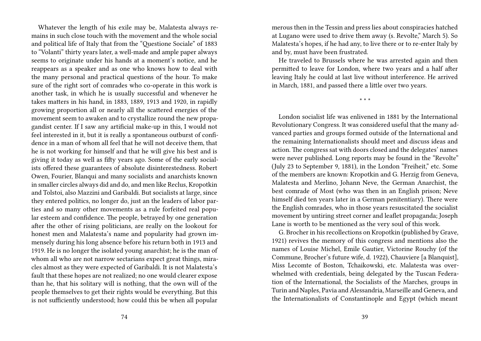Whatever the length of his exile may be, Malatesta always remains in such close touch with the movement and the whole social and political life of Italy that from the "Questione Sociale" of 1883 to "Volanti" thirty years later, a well-made and ample paper always seems to originate under his hands at a moment's notice, and he reappears as a speaker and as one who knows how to deal with the many personal and practical questions of the hour. To make sure of the right sort of comrades who co-operate in this work is another task, in which he is usually successful and whenever he takes matters in his hand, in 1883, 1889, 1913 and 1920, in rapidly growing proportion all or nearly all the scattered energies of the movement seem to awaken and to crystallize round the new propagandist center. If I saw any artificial make-up in this, I would not feel interested in it, but it is really a spontaneous outburst of confidence in a man of whom all feel that he will not deceive them, that he is not working for himself and that he will give his best and is giving it today as well as fifty years ago. Some of the early socialists offered these guarantees of absolute disinterestedness. Robert Owen, Fourier, Blanqui and many socialists and anarchists known in smaller circles always did and do, and men like Reclus, Kropotkin and Tolstoi, also Mazzini and Garibaldi. But socialists at large, since they entered politics, no longer do, just an the leaders of labor parties and so many other movements as a rule forfeited real popular esteem and confidence. The people, betrayed by one generation after the other of rising politicians, are really on the lookout for honest men and Malatesta's name and popularity had grown immensely during his long absence before his return both in 1913 and 1919. He is no longer the isolated young anarchist; he is the man of whom all who are not narrow sectarians expect great things, miracles almost as they were expected of Garibaldi. It is not Malatesta's fault that these hopes are not realized; no one would clearer expose than he, that his solitary will is nothing, that the own will of the people themselves to get their rights would be everything. But this is not sufficiently understood; how could this be when all popular

merous then in the Tessin and press lies about conspiracies hatched at Lugano were used to drive them away (s. Revolte," March 5). So Malatesta's hopes, if he had any, to live there or to re-enter Italy by and by, must have been frustrated.

He traveled to Brussels where he was arrested again and then permitted to leave for London, where two years and a half after leaving Italy he could at last live without interference. He arrived in March, 1881, and passed there a little over two years.

\* \* \*

London socialist life was enlivened in 1881 by the International Revolutionary Congress. It was considered useful that the many advanced parties and groups formed outside of the International and the remaining Internationalists should meet and discuss ideas and action. The congress sat with doors closed and the delegates' names were never published. Long reports may be found in the "Revolte" (July 23 to September 9, 1881), in the London "Freiheit," etc. Some of the members are known: Kropotkin and G. Herzig from Geneva, Malatesta and Merlino, Johann Neve, the German Anarchist, the best comrade of Most (who was then in an English prison; Neve himself died ten years later in a German penitentiary). There were the English comrades, who in those years resuscitated the socialist movement by untiring street corner and leaflet propaganda; Joseph Lane is worth to be mentioned as the very soul of this work.

G. Brocher in his recollections on Kropotkin (published by Grave, 1921) revives the memory of this congress and mentions also the names of Louise Michel, Emile Gautier, Victorine Rouchy (of the Commune, Brocher's future wife, d. 1922), Chauviere [a Blanquist], Miss Lecomte of Boston, Tchaikowski, etc. Malatesta was overwhelmed with credentials, being delegated by the Tuscan Federation of the International, the Socialists of the Marches, groups in Turin and Naples, Pavia and Alessandria, Marseille and Geneva, and the Internationalists of Constantinople and Egypt (which meant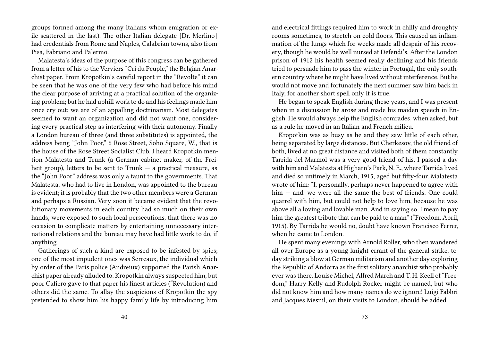groups formed among the many Italians whom emigration or exile scattered in the last). The other Italian delegate [Dr. Merlino] had credentials from Rome and Naples, Calabrian towns, also from Pisa, Fabriano and Palermo.

Malatesta's ideas of the purpose of this congress can be gathered from a letter of his to the Verviers "Cri du Peuple," the Belgian Anarchist paper. From Kropotkin's careful report in the "Revolte" it can be seen that he was one of the very few who had before his mind the clear purpose of arriving at a practical solution of the organizing problem; but he had uphill work to do and his feelings made him once cry out: we are of an appalling doctrinarism. Most delegates seemed to want an organization and did not want one, considering every practical step as interfering with their autonomy. Finally a London bureau of three (and three substitutes) is appointed, the address being "John Poor," 6 Rose Street, Soho Square, W., that is the house of the Rose Street Socialist Club. I heard Kropotkin mention Malatesta and Trunk (a German cabinet maker, of the Freiheit group), letters to be sent to  $Trunk - a$  practical measure, as the "John Poor" address was only a taunt to the governments. That Malatesta, who had to live in London, was appointed to the bureau is evident; it is probably that the two other members were a German and perhaps a Russian. Very soon it became evident that the revolutionary movements in each country had so much on their own hands, were exposed to such local persecutions, that there was no occasion to complicate matters by entertaining unnecessary international relations and the bureau may have had little work to do, if anything.

Gatherings of such a kind are exposed to be infested by spies; one of the most impudent ones was Serreaux, the individual which by order of the Paris police (Andreiux) supported the Parish Anarchist paper already alluded to. Kropotkin always suspected him, but poor Cafiero gave to that paper his finest articles ("Revolution) and others did the same. To allay the suspicions of Kropotkin the spy pretended to show him his happy family life by introducing him

and electrical fittings required him to work in chilly and droughty rooms sometimes, to stretch on cold floors. This caused an inflammation of the lungs which for weeks made all despair of his recovery, though he would be well nursed at Defendi's. After the London prison of 1912 his health seemed really declining and his friends tried to persuade him to pass the winter in Portugal, the only southern country where he might have lived without interference. But he would not move and fortunately the next summer saw him back in Italy, for another short spell only it is true.

He began to speak English during these years, and I was present when in a discussion he arose and made his maiden speech in English. He would always help the English comrades, when asked, but as a rule he moved in an Italian and French milieu.

Kropotkin was as busy as he and they saw little of each other, being separated by large distances. But Cherkesov, the old friend of both, lived at no great distance and visited both of them constantly. Tarrida del Marmol was a very good friend of his. I passed a day with him and Malatesta at Higharn's Park, N. E., where Tarrida lived and died so untimely in March, 1915, aged but fifty-four. Malatesta wrote of him: "I, personally, perhaps never happened to agree with him — and. we were all the same the best of friends. One could quarrel with him, but could not help to love him, because he was above all a loving and lovable man. And in saying so, I mean to pay him the greatest tribute that can be paid to a man" ("Freedom, April, 1915). By Tarrida he would no, doubt have known Francisco Ferrer, when he came to London.

He spent many evenings with Arnold Roller, who then wandered all over Europe as a young knight errant of the general strike, today striking a blow at German militarism and another day exploring the Republic of Andorra as the first solitary anarchist who probably ever was there. Louise Michel, Alfred March and T. H. Keell of "Freedom," Harry Kelly and Rudolph Rocker might be named, but who did not know him and how many names do we ignore! Luigi Fabbri and Jacques Mesnil, on their visits to London, should be added.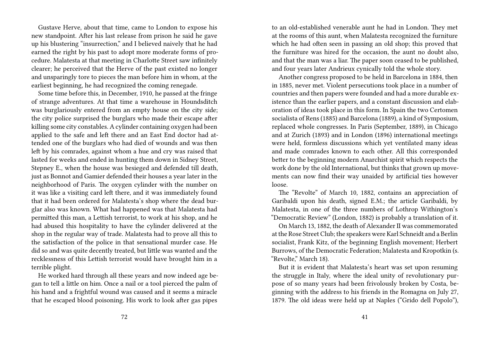Gustave Herve, about that time, came to London to expose his new standpoint. After his last release from prison he said he gave up his blustering "insurrection," and I believed naively that he had earned the right by his past to adopt more moderate forms of procedure. Malatesta at that meeting in Charlotte Street saw infinitely clearer; he perceived that the Herve of the past existed no longer and unsparingly tore to pieces the man before him in whom, at the earliest beginning, he had recognized the coming renegade.

Some time before this, in December, 1910, he passed at the fringe of strange adventures. At that time a warehouse in Houndsditch was burglariously entered from an empty house on the city side; the city police surprised the burglars who made their escape after killing some city constables. A cylinder containing oxygen had been applied to the safe and left there and an East End doctor had attended one of the burglars who had died of wounds and was then left by his comrades, against whom a hue and cry was raised that lasted for weeks and ended in hunting them down in Sidney Street, Stepney E., when the house was besieged and defended till death, just as Bonnot and Gamier defended their houses a year later in the neighborhood of Paris. The oxygen cylinder with the number on it was like a visiting card left there, and it was immediately found that it had been ordered for Malatesta's shop where the dead burglar also was known. What had happened was that Malatesta had permitted this man, a Lettish terrorist, to work at his shop, and he had abused this hospitality to have the cylinder delivered at the shop in the regular way of trade. Malatesta had to prove all this to the satisfaction of the police in that sensational murder case. He did so and was quite decently treated, but little was wanted and the recklessness of this Lettish terrorist would have brought him in a terrible plight.

He worked hard through all these years and now indeed age began to tell a little on him. Once a nail or a tool pierced the palm of his hand and a frightful wound was caused and it seems a miracle that he escaped blood poisoning. His work to look after gas pipes

to an old-established venerable aunt he had in London. They met at the rooms of this aunt, when Malatesta recognized the furniture which he had often seen in passing an old shop; this proved that the furniture was hired for the occasion, the aunt no doubt also, and that the man was a liar. The paper soon ceased to be published, and four years later Andrieux cynically told the whole story.

Another congress proposed to be held in Barcelona in 1884, then in 1885, never met. Violent persecutions took place in a number of countries and then papers were founded and had a more durable existence than the earlier papers, and a constant discussion and elaboration of ideas took place in this form. In Spain the two Certomen socialista of Rens (1885) and Barcelona (1889), a kind of Symposium, replaced whole congresses. In Paris (September, 1889), in Chicago and at Zurich (1893) and in London (1896) international meetings were held, formless discussions which yet ventilated many ideas and made comrades known to each other. All this corresponded better to the beginning modern Anarchist spirit which respects the work done by the old International, but thinks that grown up movements can now find their way unaided by artificial ties however loose.

The "Revolte" of March 10, 1882, contains an appreciation of Garibaldi upon his death, signed E.M.; the article Garibaldi, by Malatesta, in one of the three numbers of Lothrop Withington's "Democratic Review" (London, 1882) is probably a translation of it.

On March 13, 1882, the death of Alexander II was commemorated at the Rose Street Club; the speakers were Karl Schneidt and a Berlin socialist, Frank Kitz, of the beginning English movement; Herbert Burrows, of the Democratic Federation; Malatesta and Kropotkin (s. "Revolte," March 18).

But it is evident that Malatesta's heart was set upon resuming the struggle in Italy, where the ideal unity of revolutionary purpose of so many years had been frivolously broken by Costa, beginning with the address to his friends in the Romagna on July 27, 1879. The old ideas were held up at Naples ("Grido dell Popolo"),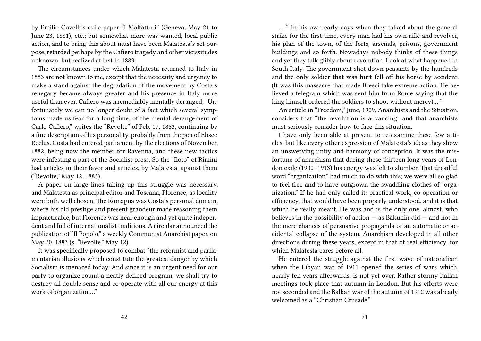by Emilio Covelli's exile paper "I Malfattori" (Geneva, May 21 to June 23, 1881), etc.; but somewhat more was wanted, local public action, and to bring this about must have been Malatesta's set purpose, retarded perhaps by the Cafiero tragedy and other vicissitudes unknown, but realized at last in 1883.

The circumstances under which Malatesta returned to Italy in 1883 are not known to me, except that the necessity and urgency to make a stand against the degradation of the movement by Costa's renegacy became always greater and his presence in Italy more useful than ever. Cafiero was irremediably mentally deranged; "Unfortunately we can no longer doubt of a fact which several symptoms made us fear for a long time, of the mental derangement of Carlo Cafiero," writes the "Revolte" of Feb. 17, 1883, continuing by a fine description of his personality, probably from the pen of Elisee Reclus. Costa had entered parliament by the elections of November, 1882, being now the member for Ravenna, and these new tactics were infesting a part of the Socialist press. So the "Iloto" of Rimini had articles in their favor and articles, by Malatesta, against them ("Revolte," May 12, 1883).

A paper on large lines taking up this struggle was necessary, and Malatesta as principal editor and Toscana, Florence, as locality were both well chosen. The Romagna was Costa's personal domain, where his old prestige and present grandeur made reasoning them impracticable, but Florence was near enough and yet quite independent and full of internationalist traditions. A circular announced the publication of "Il Popolo," a weekly Communist Anarchist paper, on May 20, 1883 (s. "Revolte," May 12).

It was specifically proposed to combat "the reformist and parliamentarian illusions which constitute the greatest danger by which Socialism is menaced today. And since it is an urgent need for our party to organize round a neatly defined program, we shall try to destroy all double sense and co-operate with all our energy at this work of organization…"

… " In his own early days when they talked about the general strike for the first time, every man had his own rifle and revolver, his plan of the town, of the forts, arsenals, prisons, government buildings and so forth. Nowadays nobody thinks of these things and yet they talk glibly about revolution. Look at what happened in South Italy. The government shot down peasants by the hundreds and the only soldier that was hurt fell off his horse by accident. (It was this massacre that made Bresci take extreme action. He believed a telegram which was sent him from Rome saying that the king himself ordered the soldiers to shoot without mercy)… "

An article in "Freedom," June, 1909, Anarchists and the Situation, considers that "the revolution is advancing" and that anarchists must seriously consider how to face this situation.

I have only been able at present to re-examine these few articles, but like every other expression of Malatesta's ideas they show an unswerving unity and harmony of conception. It was the misfortune of anarchism that during these thirteen long years of London exile (1900–1913) his energy was left to slumber. That dreadful word "organization" had much to do with this; we were all so glad to feel free and to have outgrown the swaddling clothes of "organization." If he had only called it: practical work, co-operation or efficiency, that would have been properly understood. and it is that which he really meant. He was and is the only one, almost, who believes in the possibility of action  $-$  as Bakunin did  $-$  and not in the mere chances of persuasive propaganda or an automatic or accidental collapse of the system. Anarchism developed in all other directions during these years, except in that of real efficiency, for which Malatesta cares before all.

He entered the struggle against the first wave of nationalism when the Libyan war of 1911 opened the series of wars which, nearly ten years afterwards, is not yet over. Rather stormy Italian meetings took place that autumn in London. But his efforts were not seconded and the Balkan war of the autumn of 1912 was already welcomed as a "Christian Crusade."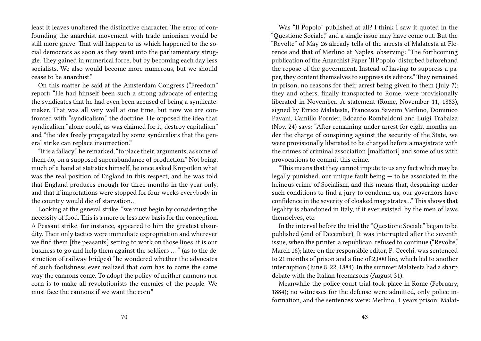least it leaves unaltered the distinctive character. The error of confounding the anarchist movement with trade unionism would be still more grave. That will happen to us which happened to the social democrats as soon as they went into the parliamentary struggle. They gained in numerical force, but by becoming each day less socialists. We also would become more numerous, but we should cease to be anarchist."

On this matter he said at the Amsterdam Congress ("Freedom" report: "He had himself been such a strong advocate of entering the syndicates that he had even been accused of being a syndicatemaker. That was all very well at one time, but now we are confronted with "syndicalism," the doctrine. He opposed the idea that syndicalism "alone could, as was claimed for it, destroy capitalism" and "the idea freely propagated by some syndicalists that the general strike can replace insurrection."

"It is a fallacy," he remarked, "to place their, arguments, as some of them do, on a supposed superabundance of production." Not being, much of a hand at statistics himself, he once asked Kropotkin what was the real position of England in this respect, and he was told that England produces enough for three months in the year only, and that if importations were stopped for four weeks everybody in the country would die of starvation…

Looking at the general strike, "we must begin by considering the necessity of food. This is a more or less new basis for the conception. A Peasant strike, for instance, appeared to him the greatest absurdity. Their only tactics were immediate expropriation and wherever we find them [the peasants] setting to work on those lines, it is our business to go and help them against the soldiers … " (as to the destruction of railway bridges) "he wondered whether the advocates of such foolishness ever realized that corn has to come the same way the cannons come. To adopt the policy of neither cannons nor corn is to make all revolutionists the enemies of the people. We must face the cannons if we want the corn"

Was "Il Popolo" published at all? I think I saw it quoted in the "Questione Sociale," and a single issue may have come out. But the "Revolte" of May 26 already tells of the arrests of Malatesta at Florence and that of Merlino at Naples, observing: "The forthcoming publication of the Anarchist Paper 'Il Popolo' disturbed beforehand the repose of the government. Instead of having to suppress a paper, they content themselves to suppress its editors." They remained in prison, no reasons for their arrest being given to them (July 7); they and others, finally transported to Rome, were provisionally liberated in November. A statement (Rome, November 11, 1883), signed by Errico Malatesta, Francesco Saveiro Merlino, Dominico Pavani, Camillo Pornier, Edoardo Rombaldoni and Luigi Trabalza (Nov. 24) says: "After remaining under arrest for eight months under the charge of conspiring against the security of the State, we were provisionally liberated to be charged before a magistrate with the crimes of criminal association [malfattori] and some of us with provocations to commit this crime.

"This means that they cannot impute to us any fact which may be legally punished, our unique fault being — to be associated in the heinous crime of Socialism, and this means that, despairing under such conditions to find a jury to condemn us, our governors have confidence in the severity of cloaked magistrates…" This shows that legality is abandoned in Italy, if it ever existed, by the men of laws themselves, etc.

In the interval before the trial the "Questione Sociale" began to be published (end of December). It was interrupted after the seventh issue, when the printer, a republican, refused to continue ("Revolte," March 16); later on the responsible editor, P. Cecchi, was sentenced to 21 months of prison and a fine of 2,000 lire, which led to another interruption (June 8, 22, 1884). In the summer Malatesta had a sharp debate with the Italian freemasons (August 31).

Meanwhile the police court trial took place in Rome (February, 1884); no witnesses for the defense were admitted, only police information, and the sentences were: Merlino, 4 years prison; Malat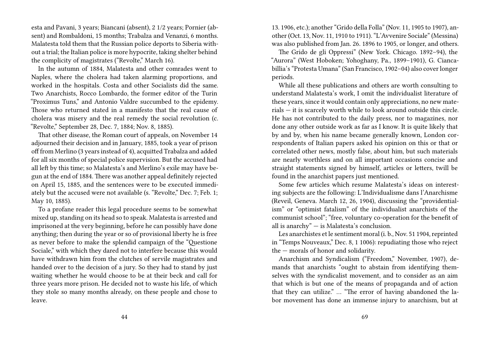esta and Pavani, 3 years; Biancani (absent), 2 1/2 years; Pornier (absent) and Rombaldoni, 15 months; Trabalza and Venanzi, 6 months. Malatesta told them that the Russian police deports to Siberia without a trial; the Italian police is more hypocrite, taking shelter behind the complicity of magistrates ("Revolte," March 16).

In the autumn of 1884, Malatesta and other comrades went to Naples, where the cholera had taken alarming proportions, and worked in the hospitals. Costa and other Socialists did the same. Two Anarchists, Rocco Lombardo, the former editor of the Turin "Proximus Tuns," and Antonio Valdre succumbed to the epidemy. Those who returned stated in a manifesto that the real cause of cholera was misery and the real remedy the social revolution (c. "Revolte," September 28, Dec. 7, 1884; Nov. 8, 1885).

That other disease, the Roman court of appeals, on November 14 adjourned their decision and in January, 1885, took a year of prison off from Merlino (3 years instead of 4), acquitted Trabalza and added for all six months of special police supervision. But the accused had all left by this time; so Malatesta's and Merlino's exile may have begun at the end of 1884. There was another appeal definitely rejected on April 15, 1885, and the sentences were to be executed immediately but the accused were not available (s. "Revolte," Dec. 7; Feb. 1; May 10, 1885).

To a profane reader this legal procedure seems to be somewhat mixed up, standing on its head so to speak. Malatesta is arrested and imprisoned at the very beginning, before he can possibly have done anything; then during the year or so of provisional liberty he is free as never before to make the splendid campaign of the "Questione Sociale," with which they dared not to interfere because this would have withdrawn him from the clutches of servile magistrates and handed over to the decision of a jury. So they had to stand by just waiting whether he would choose to be at their beck and call for three years more prison. He decided not to waste his life, of which they stole so many months already, on these people and chose to leave.

13. 1906, etc.); another "Grido della Folla" (Nov. 11, 1905 to 1907), another (Oct. 13, Nov. 11, 1910 to 1911). "L'Avvenire Sociale" (Messina) was also published from Jan. 26. 1896 to 1905, or longer, and others.

The Grido de gli Oppressi" (New York. Chicago. 1892–94), the "Aurora" (West Hoboken; Yohoghany, Pa., 1899–1901), G. Ciancabillia's "Protesta Umana" (San Francisco, 1902–04) also cover longer periods.

While all these publications and others are worth consulting to understand Malatesta's work, I omit the individualist literature of these years, since it would contain only appreciations, no new materials — it is scarcely worth while to look around outside this circle. He has not contributed to the daily press, nor to magazines, nor done any other outside work as far as I know. It is quite likely that by and by, when his name became generally known, London correspondents of Italian papers asked his opinion on this or that or correlated other news, mostly false, about him, but such materials are nearly worthless and on all important occasions concise and straight statements signed by himself, articles or letters, twill be found in the anarchist papers just mentioned.

Some few articles which resume Malatesta's ideas on interesting subjects are the following: L'Individualisme dans l'Anarchisme (Reveil, Geneva. March 12, 26, 1904), discussing the "providentialism" or "optimist fatalism" of the individualist anarchists of the communist school"; "free, voluntary co-operation for the benefit of all is anarchy" — is Malatesta's conclusion.

Les anarchistes et le sentiment moral (i. b., Nov. 51 1904, reprinted in "Temps Nouveaux," Dec. 8, 1 1006): repudiating those who reject the — morals of honor and solidarity.

Anarchism and Syndicalism ("Freedom," November, 1907), demands that anarchists "ought to abstain from identifying themselves with the syndicalist movement, and to consider as an aim that which is but one of the means of propaganda and of action that they can utilize." … "The error of having abandoned the labor movement has done an immense injury to anarchism, but at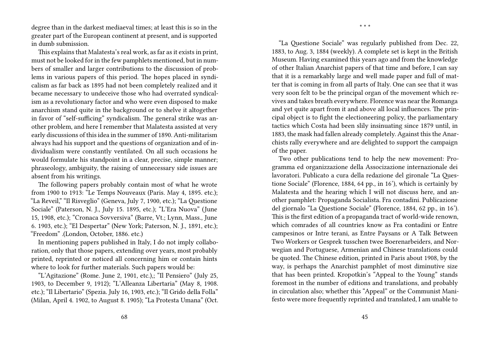degree than in the darkest mediaeval times; at least this is so in the greater part of the European continent at present, and is supported in dumb submission.

This explains that Malatesta's real work, as far as it exists in print, must not be looked for in the few pamphlets mentioned, but in numbers of smaller and larger contributions to the discussion of problems in various papers of this period. The hopes placed in syndicalism as far back as 1895 had not been completely realized and it became necessary to undeceive those who had overrated syndicalism as a revolutionary factor and who were even disposed to make anarchism stand quite in the background or to shelve it altogether in favor of "self-sufficing" syndicalism. The general strike was another problem, and here I remember that Malatesta assisted at very early discussions of this idea in the summer of 1890. Anti-militarism always had his support and the questions of organization and of individualism were constantly ventilated. On all such occasions he would formulate his standpoint in a clear, precise, simple manner; phraseology, ambiguity, the raising of unnecessary side issues are absent from his writings.

The following papers probably contain most of what he wrote from 1900 to 1913: "Le Temps Nouveaux (Paris. May 4, 1895. etc.); "La Reveil," "Il Risveglio" (Geneva, July 7, 1900, etc.); "La Questione Sociale" (Paterson, N. J., July 15. 1895, etc.); "L'Era Nuova" (June 15, 1908, etc.); "Cronaca Sovversiva" (Barre, Vt.; Lynn, Mass., June 6. 1903, etc.); "El Despertar" (New York; Paterson, N. J., 1891, etc.); "Freedom" .(London, October, 1886. etc.)

In mentioning papers published in Italy, I do not imply collaboration, only that those papers, extending over years, most probably printed, reprinted or noticed all concerning him or contain hints where to look for further materials. Such papers would be:

"L'Agitazione" (Rome. June 2, 1901, etc.),; "Il Pensiero" (July 25, 1903, to December 9, 1912); "L'Alleanza Libertaria" (May 8, 1908. etc.); "Il Libertario" (Spezia. July 16, 1903, etc.); "Il Grido della Folla" (Milan, April 4. 1902, to August 8. 1905); "La Protesta Umana" (Oct.

"La Questione Sociale" was regularly published from Dec. 22, 1883, to Aug. 3, 1884 (weekly). A complete set is kept in the British Museum. Having examined this years ago and from the knowledge of other Italian Anarchist papers of that time and before, I can say that it is a remarkably large and well made paper and full of matter that is coming in from all parts of Italy. One can see that it was very soon felt to be the principal organ of the movement which revives and takes breath everywhere. Florence was near the Romanga and yet quite apart from it and above all local influences. The principal object is to fight the electioneering policy, the parliamentary tactics which Costa had been slily insinuating since 1879 until, in 1883, the mask had fallen already completely. Against this the Anarchists rally everywhere and are delighted to support the campaign of the paper.

\* \* \*

Two other publications tend to help the new movement: Programma ed organizzazione della Associzazione internazionale dei lavoratori. Publicato a cura della redazione del gironale "La Questione Sociale" (Florence, 1884, 64 pp., in 16'), which is certainly by Malatesta and the hearing which I will not discuss here, and another pamphlet: Propaganda Socialista. Fra contadini. Publicazione del giornalo "La Questione Sociale" (Florence, 1884, 62 pp., in 16'). This is the first edition of a propaganda tract of world-wide renown, which comrades of all countries know as Fra contadini or Entre campesinos or Intre terani, as Entre Paysans or A Talk Between Two Workers or Gesprek tusschen twee Boerenarbeiders, and Norwegian and Portuguese, Armenian and Chinese translations could be quoted. The Chinese edition, printed in Paris about 1908, by the way, is perhaps the Anarchist pamphlet of most diminutive size that has been printed. Kropotkin's "Appeal to the Young" stands foremost in the number of editions and translations, and probably in circulation also; whether this "Appeal" or the Communist Manifesto were more frequently reprinted and translated, I am unable to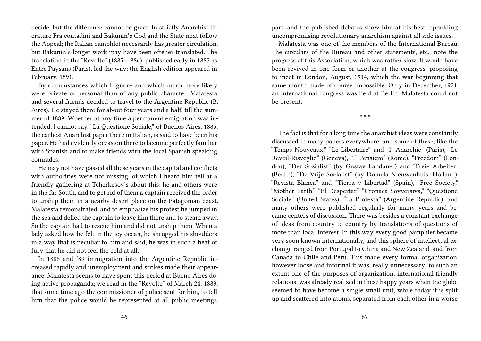decide, but the difference cannot be great. In strictly Anarchist literature Fra contadini and Bakunin's God and the State next follow the Appeal; the Italian pamphlet necessarily has greater circulation, but Bakunin's longer work may have been oftener translated. The translation in the "Revolte" (1885–1886), published early in 1887 as Entre Paysans (Paris), led the way; the English edition appeared in February, 1891.

By circumstances which I ignore and which much more likely were private or personal than of any public character, Malatesta and several friends decided to travel to the Argentine Republic (B. Aires). He stayed there for about four years and a half, till the summer of 1889. Whether at any time a permanent emigration was intended, I cannot say. "La Questione Sociale," of Buenos Aires, 1885, the earliest Anarchist paper there in Italian, is said to have been his paper. He had evidently occasion there to become perfectly familiar with Spanish and to make friends with the local Spanish speaking comrades.

He may not have passed all these years in the capital and conflicts with authorities were not missing, of which I heard him tell at a friendly gathering at Tcherkesov's about this: he and others were in the far South, and to get rid of them a captain received the order to unship them in a nearby desert place on the Patagonian coast. Malatesta remonstrated, and to emphasize his protest he jumped in the sea and defied the captain to leave him there and to steam away. So the captain had to rescue him and did not unship them. When a lady asked how he felt in the icy ocean, he shrugged his shoulders in a way that is peculiar to him and said, he was in such a heat of fury that he did not feel the cold at all.

In 1888 and '89 immigration into the Argentine Republic increased rapidly and unemployment and strikes made their appearance. Malatesta seems to have spent this period at Bueno Aires doing active propaganda; we read in the "Revolte" of March 24, 1889, that some time ago the commissioner of police sent for him, to tell him that the police would be represented at all public meetings.

part, and the published debates show him at his best, upholding uncompromising revolutionary anarchism against all side issues.

Malatesta was one of the members of the International Bureau. The circulars of the Bureau and other statements, etc., note the progress of this Association, which was rather slow. It would have been revived in one form or another at the congress, proposing to meet in London, August, 1914, which the war beginning that same month made of course impossible. Only in December, 1921, an international congress was held at Berlin; Malatesta could not be present.

\* \* \*

The fact is that for a long time the anarchist ideas were constantly discussed in many papers everywhere, and some of these, like the "Temps Nouveaux," "Le Libertaire" and "l' Anarchie- (Paris), "Le Reveil-Risveglio" (Geneva), "Il Pensiero" (Rome), "Freedom" (London), "Der Sozialist" (by Gustav Landauer) and "Freie Arbeiter" (Berlin), "De Vrije Socialist" (by Domela Nieuwenhuis, Holland), "Revista Blanca" and "Tierra y Libertad" (Spain), "Free Society," "Mother Earth," "El Despertar," "Cronaca Sovversiva," "Questione Sociale" (United States), "La Protesta" (Argentine Republic), and many others were published regularly for many years and became centers of discussion. There was besides a constant exchange of ideas from country to country by translations of questions of more than local interest. In this way every good pamphlet became very soon known internationally, and this sphere of intellectual exchange ranged from Portugal to China and New Zealand, and from Canada to Chile and Peru. This made every formal organization, however loose and informal it was, really unnecessary; to such an extent one of the purposes of organization, international friendly relations, was already realized in these happy years when the globe seemed to have become a single small unit, while today it is split up and scattered into atoms, separated from each other in a worse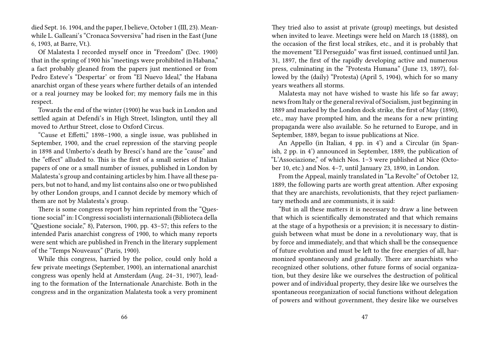died Sept. 16. 1904, and the paper, I believe, October 1 (III, 23). Meanwhile L. Galleani's "Cronaca Sovversiva" had risen in the East (June 6, 1903, at Barre, Vt.).

Of Malatesta I recorded myself once in "Freedom" (Dec. 1900) that in the spring of 1900 his "meetings were prohibited in Habana," a fact probably gleaned from the papers just mentioned or from Pedro Esteve's "Despertar' or from "El Nuevo Ideal," the Habana anarchist organ of these years where further details of an intended or a real journey may be looked for; my memory fails me in this respect.

Towards the end of the winter (1900) he was back in London and settled again at Defendi's in High Street, Islington, until they all moved to Arthur Street, close to Oxford Circus.

"Cause et Effetti," 1898–1900, a single issue, was published in September, 1900, and the cruel repression of the starving people in 1898 and Umberto's death by Bresci's hand are the "cause" and the "effect" alluded to. This is the first of a small series of Italian papers of one or a small number of issues, published in London by Malatesta's group and containing articles by him. I have all these papers, but not to hand, and my list contains also one or two published by other London groups, and I cannot decide by memory which of them are not by Malatesta's group.

There is some congress report by him reprinted from the "Questione social" in: I Congressi socialisti internazionali (Biblioteca della "Questione sociale," 8), Paterson, 1900, pp. 43–57; this refers to the intended Paris anarchist congress of 1900, to which many reports were sent which are published in French in the literary supplement of the "Temps Nouveaux" (Paris, 1900).

While this congress, harried by the police, could only hold a few private meetings (September, 1900), an international anarchist congress was openly held at Amsterdam (Aug. 24–31, 1907), leading to the formation of the Internationale Anarchiste. Both in the congress and in the organization Malatesta took a very prominent

They tried also to assist at private (group) meetings, but desisted when invited to leave. Meetings were held on March 18 (1888), on the occasion of the first local strikes, etc., and it is probably that the movement "El Perseguido" was first issued, continued until Jan. 31, 1897, the first of the rapidly developing active and numerous press, culminating in the "Protesta Humana" (June 13, 1897), followed by the (daily) "Protesta) (April 5, 1904), which for so many years weathers all storms.

Malatesta may not have wished to waste his life so far away; news from Italy or the general revival of Socialism, just beginning in 1889 and marked by the London dock strike, the first of May (1890), etc., may have prompted him, and the means for a new printing propaganda were also available. So he returned to Europe, and in September, 1889, began to issue publications at Nice.

An Appello (in Italian, 4 pp. in 4') and a Circular (in Spanish, 2 pp. in 4') announced in September, 1889, the publication of "L'Associazione," of which Nos. 1–3 were published at Nice (October 10, etc.) and Nos. 4–7, until January 23, 1890, in London.

From the Appeal, mainly translated in "La Revolte" of October 12, 1889, the following parts are worth great attention. After exposing that they are anarchists, revolutionists, that they reject parliamentary methods and are communists, it is said:

"But in all these matters it is necessary to draw a line between that which is scientifically demonstrated and that which remains at the stage of a hypothesis or a prevision; it is necessary to distinguish between what must be done in a revolutionary way, that is by force and immediately, and that which shall be the consequence of future evolution and must be left to the free energies of all, harmonized spontaneously and gradually. There are anarchists who recognized other solutions, other future forms of social organization, but they desire like we ourselves the destruction of political power and of individual property, they desire like we ourselves the spontaneous reorganization of social functions without delegation of powers and without government, they desire like we ourselves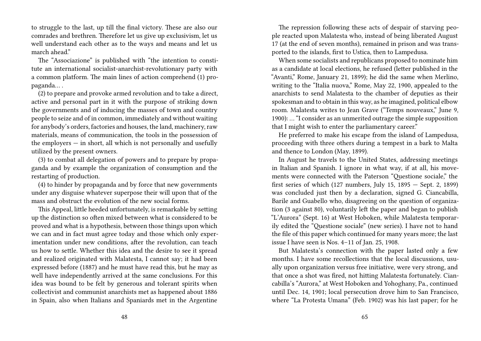to struggle to the last, up till the final victory. These are also our comrades and brethren. Therefore let us give up exclusivism, let us well understand each other as to the ways and means and let us march ahead."

The "Associazione" is published with "the intention to constitute an international socialist-anarchist-revolutionary party with a common platform. The main lines of action comprehend (1) propaganda… .

(2) to prepare and provoke armed revolution and to take a direct, active and personal part in it with the purpose of striking down the governments and of inducing the masses of town and country people to seize and of in common, immediately and without waiting for anybody's orders, factories and houses, the land, machinery, raw materials, means of communication, the tools in the possession of the employers  $-$  in short, all which is not personally and usefully utilized by the present owners.

(3) to combat all delegation of powers and to prepare by propaganda and by example the organization of consumption and the restarting of production.

(4) to hinder by propaganda and by force that new governments under any disguise whatever superpose their will upon that of the mass and obstruct the evolution of the new social forms.

This Appeal, little heeded unfortunately, is remarkable by setting up the distinction so often mixed between what is considered to be proved and what is a hypothesis, between those things upon which we can and in fact must agree today and those which only experimentation under new conditions, after the revolution, can teach us how to settle. Whether this idea and the desire to see it spread and realized originated with Malatesta, I cannot say; it had been expressed before (1887) and he must have read this, but he may as well have independently arrived at the same conclusions. For this idea was bound to be felt by generous and tolerant spirits when collectivist and communist anarchists met as happened about 1886 in Spain, also when Italians and Spaniards met in the Argentine

The repression following these acts of despair of starving people reacted upon Malatesta who, instead of being liberated August 17 (at the end of seven months), remained in prison and was transported to the islands, first to Ustica, then to Lampedusa.

When some socialists and republicans proposed to nominate him as a candidate at local elections, he refused (letter published in the "Avanti," Rome, January 21, 1899); he did the same when Merlino, writing to the "Italia nuova," Rome, May 22, 1900, appealed to the anarchists to send Malatesta to the chamber of deputies as their spokesman and to obtain in this way, as he imagined, political elbow room. Malatesta writes to Jean Grave ("Temps nouveaux," June 9, 1900): … "I consider as an unmerited outrage the simple supposition that I might wish to enter the parliamentary career."

He preferred to make his escape from the island of Lampedusa, proceeding with three others during a tempest in a bark to Malta and thence to London (May, 1899).

In August he travels to the United States, addressing meetings in Italian and Spanish. I ignore in what way, if at all, his movements were connected with the Paterson "Questione sociale," the first series of which (127 numbers, July 15, 1895 — Sept. 2, 1899) was concluded just then by a declaration, signed G. Ciancabilla, Barile and Guabello who, disagreeing on the question of organization (3 against 80), voluntarily left the paper and began to publish "L'Aurora" (Sept. 16) at West Hoboken, while Malatesta temporarily edited the "Questione sociale" (new series). I have not to hand the file of this paper which continued for many years more; the last issue I have seen is Nos. 4–11 of Jan. 25, 1908.

But Malatesta's connection with the paper lasted only a few months. I have some recollections that the local discussions, usually upon organization versus free initiative, were very strong, and that once a shot was fired, not hitting Malatesta fortunately. Ciancabilla's "Aurora," at West Hoboken and Yohoghany, Pa., continued until Dec. 14, 1901; local persecution drove him to San Francisco, where "La Protesta Umana" (Feb. 1902) was his last paper; for he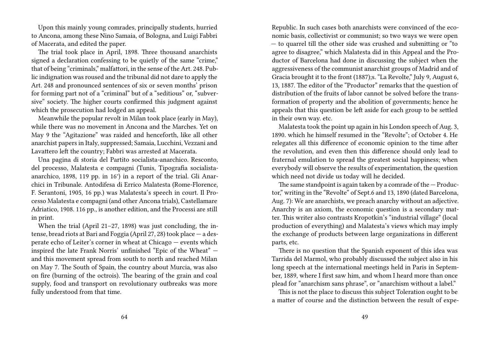Upon this mainly young comrades, principally students, hurried to Ancona, among these Nino Samaia, of Bologna, and Luigi Fabbri of Macerata, and edited the paper.

The trial took place in April, 1898. Three thousand anarchists signed a declaration confessing to be quietly of the same "crime," that of being "criminals," malfattori, in the sense of the Art. 248. Public indignation was roused and the tribunal did not dare to apply the Art. 248 and pronounced sentences of six or seven months' prison for forming part not of a "criminal" but of a "seditious" or, "subversive" society. The higher courts confirmed this judgment against which the prosecution had lodged an appeal.

Meanwhile the popular revolt in Milan took place (early in May), while there was no movement in Ancona and the Marches. Yet on May 9 the "Agitazione" was raided and henceforth, like all other anarchist papers in Italy, suppressed; Samaia, Lucchini, Vezzani and Lavattero left the country; Fabbri was arrested at Macerata.

Una pagina di storia del Partito socialista-anarchico. Resconto, del processo, Malatesta e compagni (Tunis, Tipografia socialistaanarchico, 1898, 119 pp. in 16°) in a report of the trial. Gli Anarchici in Tribunale. Antodifesa di Errico Malatesta (Rome-Florence, F. Serantoni, 1905, 16 pp.) was Malatesta's speech in court. Il Processo Malatesta e compagni (and other Ancona trials), Castellamare Adriatico, 1908. 116 pp., is another edition, and the Processi are still in print.

When the trial (April 21–27, 1898) was just concluding, the intense, bread riots at Bari and Foggia (April 27, 28) took place — a desperate echo of Leiter's corner in wheat at Chicago — events which inspired the late Frank Norris' unfinished "Epic of the Wheat" and this movement spread from south to north and reached Milan on May 7. The South of Spain, the country about Murcia, was also on fire (burning of the octrois). The bearing of the grain and coal supply, food and transport on revolutionary outbreaks was more fully understood from that time.

Republic. In such cases both anarchists were convinced of the economic basis, collectivist or communist; so two ways we were open — to quarrel till the other side was crushed and submitting or "to agree to disagree," which Malatesta did in this Appeal and the Productor of Barcelona had done in discussing the subject when the aggressiveness of the communist anarchist groups of Madrid and of Gracia brought it to the front (1887);s. "La Revolte," July 9, August 6, 13, 1887. The editor of the "Productor" remarks that the question of distribution of the fruits of labor cannot be solved before the transformation of property and the abolition of governments; hence he appeals that this question be left aside for each group to be settled in their own way. etc.

Malatesta took the point up again in his London speech of Aug. 3, 1890. which he himself resumed in the "Revolte"; of October 4. He relegates all this difference of economic opinion to the time after the revolution, and even then this difference should only lead to fraternal emulation to spread the greatest social happiness; when everybody will observe the results of experimentation, the question which need not divide us today will he decided.

The same standpoint is again taken by a comrade of the  $-$  Productor," writing in the "Revolte" of Sept.6 and 13, 1890 (dated Barcelona, Aug. 7): We are anarchists, we preach anarchy without an adjective. Anarchy is an axiom, the economic question is a secondary matter. This writer also contrasts Kropotkin's "industrial village" (local production of everything) and Malatesta's views which may imply the exchange of products between large organizations in different parts, etc.

There is no question that the Spanish exponent of this idea was Tarrida del Marmol, who probably discussed the subject also in his long speech at the international meetings held in Paris in September, 1889, where I first saw him, and whom I heard more than once plead for "anarchism sans phrase", or "anarchism without a label."

This is not the place to discuss this subject Toleration ought to be a matter of course and the distinction between the result of expe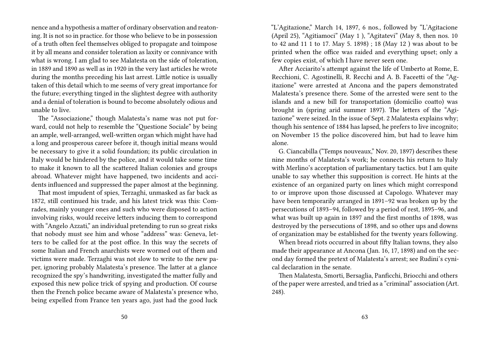nence and a hypothesis a matter of ordinary observation and reatoning. It is not so in practice. for those who believe to be in possession of a truth often feel themselves obliged to propagate and toimpose it by all means and consider toleration as laxity or connivance with what is wrong. I am glad to see Malatesta on the side of toleration, in 1889 and 1890 as well as in 1920 in the very last articles he wrote during the months preceding his last arrest. Little notice is usually taken of this detail which to me seems of very great importance for the future; everything tinged in the slightest degree with authority and a denial of toleration is bound to become absolutely odious and unable to live.

The "Associazione," though Malatesta's name was not put forward, could not help to resemble the "Questione Sociale" by being an ample, well-arranged, well-written organ which might have had a long and prosperous career before it, though initial means would be necessary to give it a solid foundation; its public circulation in Italy would be hindered by the police, and it would take some time to make it known to all the scattered Italian colonies and groups abroad. Whatever might have happened, two incidents and accidents influenced and suppressed the paper almost at the beginning.

That most impudent of spies, Terzaghi, unmasked as far back as 1872, still continued his trade, and his latest trick was this: Comrades, mainly younger ones and such who were disposed to action involving risks, would receive letters inducing them to correspond with "Angelo Azzati," an individual pretending to run so great risks that nobody must see him and whose "address" was: Geneva, letters to be called for at the post office. In this way the secrets of some Italian and French anarchists were wormed out of them and victims were made. Terzaghi was not slow to write to the new paper, ignoring probably Malatesta's presence. The latter at a glance recognized the spy's handwriting, investigated the matter fully and exposed this new police trick of spying and production. Of course then the French police became aware of Malatesta's presence who, being expelled from France ten years ago, just had the good luck

"L'Agitazione," March 14, 1897, 6 nos., followed by "L'Agitacione (April 25), "Agitiamoci" (May 1 ), "Agitatevi" (May 8, then nos. 10 to 42 and 11 1 to 17. May 5. 1898) ; 18 (May 12 ) was about to be printed when the office was raided and everything upset; only a few copies exist, of which I have never seen one.

After Acciarito's attempt against the life of Umberto at Rome, E. Recchioni, C. Agostinelli, R. Recchi and A. B. Faceetti of the "Agitazione" were arrested at Ancona and the papers demonstrated Malatesta's presence there. Some of the arrested were sent to the islands and a new bill for transportation (domicilio coatto) was brought in (spring arid summer 1897). The letters of the "Agitazione" were seized. In the issue of Sept. 2 Malatesta explains why; though his sentence of 1884 has lapsed, he prefers to live incognito; on November 15 the police discovered him, but had to leave him alone.

G. Ciancabilla ("Temps nouveaux," Nov. 20, 1897) describes these nine months of Malatesta's work; he connects his return to Italy with Merlino's acceptation of parliamentary tactics. but I am quite unable to say whether this supposition is correct. He hints at the existence of an organized party on lines which might correspond to or improve upon those discussed at Capologo. Whatever may have been temporarily arranged in 1891–92 was broken up by the persecutions of 1893–94, followed by a period of rest, 1895–96, and what was built up again in 1897 and the first months of 1898, was destroyed by the persecutions of 1898, and so other ups and downs of organization may be established for the twenty years following.

When bread riots occurred in about fifty Italian towns, they also made their appearance at Ancona (Jan. 16, 17, 1898) and on the second day formed the pretext of Malatesta's arrest; see Rudini's cynical declaration in the senate.

Then Malatesta, Smorti, Bersaglia, Panficchi, Briocchi and others of the paper were arrested, and tried as a "criminal" association (Art. 248).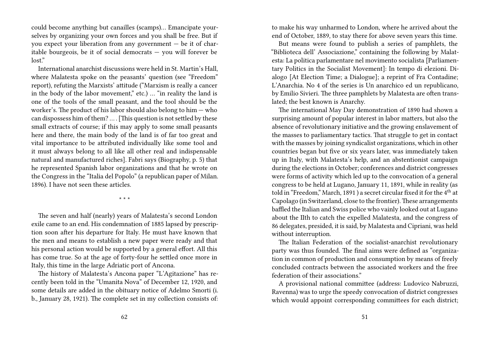could become anything but canailles (scamps)… Emancipate yourselves by organizing your own forces and you shall be free. But if you expect your liberation from any government — be it of charitable bourgeois, be it of social democrats — you will forever be lost"

International anarchist discussions were held in St. Martin's Hall, where Malatesta spoke on the peasants' question (see "Freedom" report), refuting the Marxists' attitude ("Marxism is really a cancer in the body of the labor movement," etc.) … "in reality the land is one of the tools of the small peasant, and the tool should be the worker's. The product of his labor should also belong to him — who can dispossess him of them? … . [This question is not settled by these small extracts of course; if this may apply to some small peasants here and there, the main body of the land is of far too great and vital importance to be attributed individually like some tool and it must always belong to all like all other real and indispensable natural and manufactured riches]. Fabri says (Biography, p. 5) that he represented Spanish labor organizations and that he wrote on the Congress in the "Italia del Popolo" (a republican paper of Milan. 1896). I have not seen these articles.

\* \* \*

The seven and half (nearly) years of Malatesta's second London exile came to an end. His condemnation of 1885 lapsed by prescription soon after his departure for Italy. He must have known that the men and means to establish a new paper were ready and that his personal action would be supported by a general effort. All this has come true. So at the age of forty-four he settled once more in Italy, this time in the large Adriatic port of Ancona.

The history of Malatesta's Ancona paper "L'Agitazione" has recently been told in the "Umanita Nova" of December 12, 1920, and some details are added in the obituary notice of Adelmo Smorti (i. b., January 28, 1921). The complete set in my collection consists of:

to make his way unharmed to London, where he arrived about the end of October, 1889, to stay there for above seven years this time.

But means were found to publish a series of pamphlets, the "Biblioteca dell' Associazione," containing the following by Malatesta: La politica parlamentare nel movimento socialista [Parliamentary Politics in the Socialist Movement]: In tempo di elezioni. Dialogo [At Election Time; a Dialogue]; a reprint of Fra Contadine; L'Anarchia. No 4 of the series is Un anarchico ed un republicano, by Emilio Sivieri. The three pamphlets by Malatesta are often translated; the best known is Anarchy.

The international May Day demonstration of 1890 had shown a surprising amount of popular interest in labor matters, but also the absence of revolutionary initiative and the growing enslavement of the masses to parliamentary tactics. That struggle to get in contact with the masses by joining syndicalist organizations, which in other countries began but five or six years later, was immediately taken up in Italy, with Malatesta's help, and an abstentionist campaign during the elections in October; conferences and district congresses were forms of activity which led up to the convocation of a general congress to be held at Lugano, January 11, 1891, while in reality (as told in "Freedom," March, 1891 ) a secret circular fixed it for the 4<sup>th</sup> at Capolago (in Switzerland, close to the frontier). These arrangements baffled the Italian and Swiss police who vainly looked out at Lugano about the IIth to catch the expelled Malatesta, and the congress of 86 delegates, presided, it is said, by Malatesta and Cipriani, was held without interruption.

The Italian Federation of the socialist-anarchist revolutionary party was thus founded. The final aims were defined as "organization in common of production and consumption by means of freely concluded contracts between the associated workers and the free federation of their associations."

A provisional national committee (address: Ludovico Nabruzzi, Ravenna) was to urge the speedy convocation of district congresses which would appoint corresponding committees for each district;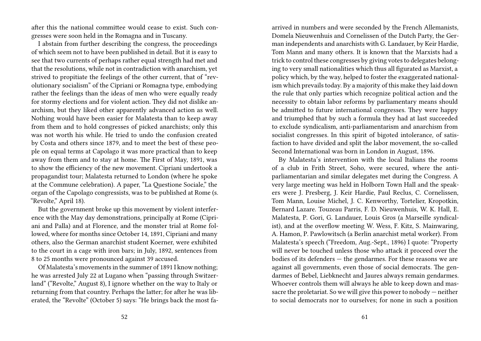after this the national committee would cease to exist. Such congresses were soon held in the Romagna and in Tuscany.

I abstain from further describing the congress, the proceedings of which seem not to have been published in detail. But it is easy to see that two currents of perhaps rather equal strength had met and that the resolutions, while not in contradiction with anarchism, yet strived to propitiate the feelings of the other current, that of "revolutionary socialism" of the Cipriani or Romagna type, embodying rather the feelings than the ideas of men who were equally ready for stormy elections and for violent action. They did not dislike anarchism, but they liked other apparently advanced action as well. Nothing would have been easier for Malatesta than to keep away from them and to hold congresses of picked anarchists; only this was not worth his while. He tried to undo the confusion created by Costa and others since 1879, and to meet the best of these people on equal terms at Capolago it was more practical than to keep away from them and to stay at home. The First of May, 1891, was to show the efficiency of the new movement. Cipriani undertook a propagandist tour; Malatesta returned to London (where he spoke at the Commune celebration). A paper, "La Questione Sociale," the organ of the Capolago congressists, was to be published at Rome (s. "Revolte," April 18).

But the government broke up this movement by violent interference with the May day demonstrations, principally at Rome (Cipriani and Palla) and at Florence, and the monster trial at Rome followed, where for months since October 14, 1891, Cipriani and many others, also the German anarchist student Koerner, were exhibited to the court in a cage with iron bars; in July, 1892, sentences from 8 to 25 months were pronounced against 39 accused.

Of Malatesta's movements in the summer of 1891 I know nothing; he was arrested July 22 at Lugano when "passing through Switzerland" ("Revolte," August 8), I ignore whether on the way to Italy or returning from that country. Perhaps the latter; for after he was liberated, the "Revolte" (October 5) says: "He brings back the most faarrived in numbers and were seconded by the French Allemanists, Domela Nieuwenhuis and Cornelissen of the Dutch Party, the German independents and anarchists with G. Landauer, by Keir Hardie, Tom Mann and many others. It is known that the Marxists had a trick to control these congresses by giving votes to delegates belonging to very small nationalities which thus all figurated as Marxist, a policy which, by the way, helped to foster the exaggerated nationalism which prevails today. By a majority of this make they laid down the rule that only parties which recognize political action and the necessity to obtain labor reforms by parliamentary means should be admitted to future international congresses. They were happy and triumphed that by such a formula they had at last succeeded to exclude syndicalism, anti-parliamentarism and anarchism from socialist congresses. In this spirit of bigoted intolerance, of satisfaction to have divided and split the labor movement, the so-called Second International was born in London in August, 1896.

By Malatesta's intervention with the local Italians the rooms of a club in Frith Street, Soho, were secured, where the antiparliamentarian and similar delegates met during the Congress. A very large meeting was held in Holborn Town Hall and the speakers were J. Presberg, J. Keir Hardie, Paul Reclus, C. Cornelissen, Tom Mann, Louise Michel, J. C. Kenworthy, Tortelier, Kropotkin, Bernard Lazare. Touzeau Parris, F. D. Nieuwenhuis, W. K. Hall, E. Malatesta, P. Gori, G. Landauer, Louis Gros (a Marseille syndicalist), and at the overflow meeting W. Wess, F. Kitz, S. Mainwaring, A. Hamon, P. Pawlowitsch (a Berlin anarchist metal worker). From Malatesta's speech ("Freedom, Aug.-Sept., 1896) I quote: "Property will never be touched unless those who attack it proceed over the bodies of its defenders — the gendarmes. For these reasons we are against all governments, even those of social democrats. The gendarmes of Bebel, Liebknecht and Jaures always remain gendarmes. Whoever controls them will always he able to keep down and massacre the proletariat. So we will give this power to nobody — neither to social democrats nor to ourselves; for none in such a position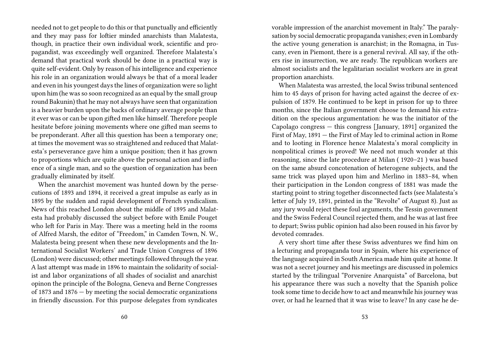needed not to get people to do this or that punctually and efficiently and they may pass for loftier minded anarchists than Malatesta, though, in practice their own individual work, scientific and propagandist, was exceedingly well organized. Therefore Malatesta's demand that practical work should be done in a practical way is quite self-evident. Only by reason of his intelligence and experience his role in an organization would always be that of a moral leader and even in his youngest days the lines of organization were so light upon him (he was so soon recognized as an equal by the small group round Bakunin) that he may not always have seen that organization is a heavier burden upon the backs of ordinary average people than it ever was or can be upon gifted men like himself. Therefore people hesitate before joining movements where one gifted man seems to be preponderant. After all this question has been a temporary one; at times the movement was so straightened and reduced that Malatesta's perseverance gave him a unique position; then it has grown to proportions which are quite above the personal action and influence of a single man, and so the question of organization has been gradually eliminated by itself.

When the anarchist movement was hunted down by the persecutions of 1893 and 1894, it received a great impulse as early as in 1895 by the sudden and rapid development of French syndicalism. News of this reached London about the middle of 1895 and Malatesta had probably discussed the subject before with Emile Pouget who left for Paris in May. There was a meeting held in the rooms of Alfred Marsh, the editor of "Freedom," in Camden Town, N. W., Malatesta being present when these new developments and the International Socialist Workers' and Trade Union Congress of 1896 (London) were discussed; other meetings followed through the year. A last attempt was made in 1896 to maintain the solidarity of socialist and labor organizations of all shades of socialist and anarchist opinon the principle of the Bologna, Geneva and Berne Congresses of 1873 and 1876 — by meeting the social democratic organizations in friendly discussion. For this purpose delegates from syndicates

vorable impression of the anarchist movement in Italy." The paralysation by social democratic propaganda vanishes; even in Lombardy the active young generation is anarchist; in the Romagna, in Tuscany, even in Piemont, there is a general revival. All say, if the others rise in insurrection, we are ready. The republican workers are almost socialists and the legalitarian socialist workers are in great proportion anarchists.

When Malatesta was arrested, the local Swiss tribunal sentenced him to 45 days of prison for having acted against the decree of expulsion of 1879. He continued to be kept in prison for up to three months, since the Italian government choose to demand his extradition on the specious argumentation: he was the initiator of the Capolago congress — this congress [January, 1891] organized the First of May, 1891 — the First of May led to criminal action in Rome and to looting in Florence hence Malatesta's moral complicity in nonpolitical crimes is proved! We need not much wonder at this reasoning, since the late procedure at Milan ( 1920–21 ) was based on the same absurd concotenation of heterogene subjects, and the same trick was played upon him and Merlino in 1883–84, when their participation in the London congress of 1881 was made the starting point to string together disconnected facts (see Malatesta's letter of July 19, 1891, printed in the "Revolte" of August 8). Just as any jury would reject these foul arguments, the Tessin government and the Swiss Federal Council rejected them, and he was at last free to depart; Swiss public opinion had also been roused in his favor by devoted comrades.

A very short time after these Swiss adventures we find him on a lecturing and propaganda tour in Spain, where his experience of the language acquired in South America made him quite at home. It was not a secret journey and his meetings are discussed in polemics started by the trilingual "Porvenire Anarquista" of Barcelona, but his appearance there was such a novelty that the Spanish police took some time to decide how to act and meanwhile his journey was over, or had he learned that it was wise to leave? In any case he de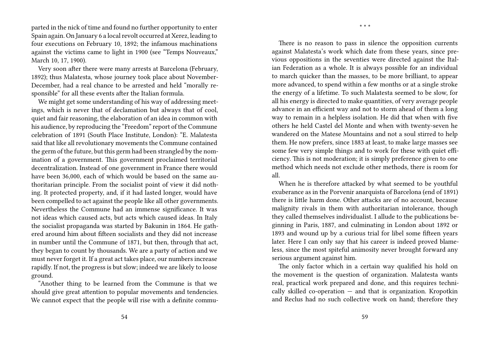parted in the nick of time and found no further opportunity to enter Spain again. On January 6 a local revolt occurred at Xerez, leading to four executions on February 10, 1892; the infamous machinations against the victims came to light in 1900 (see "Temps Nouveaux," March 10, 17, 1900).

Very soon after there were many arrests at Barcelona (February, 1892); thus Malatesta, whose journey took place about November-December, had a real chance to be arrested and held "morally responsible" for all these events after the Italian formula.

We might get some understanding of his way of addressing meetings, which is never that of declamation but always that of cool, quiet and fair reasoning, the elaboration of an idea in common with his audience, by reproducing the "Freedom" report of the Commune celebration of 1891 (South Place Institute, London): "E. Malatesta said that like all revolutionary movements the Commune contained the germ of the future, but this germ had been strangled by the nomination of a government. This government proclaimed territorial decentralization. Instead of one government in France there would have been 36,000, each of which would be based on the same authoritarian principle. From the socialist point of view it did nothing. It protected property, and, if it had lasted longer, would have been compelled to act against the people like all other governments. Nevertheless the Commune had an immense significance. It was not ideas which caused acts, but acts which caused ideas. In Italy the socialist propaganda was started by Bakunin in 1864. He gathered around him about fifteen socialists and they did not increase in number until the Commune of 1871, but then, through that act, they began to count by thousands. We are a party of action and we must never forget it. If a great act takes place, our numbers increase rapidly. If not, the progress is but slow; indeed we are likely to loose ground.

"Another thing to be learned from the Commune is that we should give great attention to popular movements and tendencies. We cannot expect that the people will rise with a definite commu-

There is no reason to pass in silence the opposition currents against Malatesta's work which date from these years, since previous oppositions in the seventies were directed against the Italian Federation as a whole. It is always possible for an individual to march quicker than the masses, to be more brilliant, to appear more advanced, to spend within a few months or at a single stroke the energy of a lifetime. To such Malatesta seemed to be slow, for all his energy is directed to make quantities, of very average people advance in an efficient way and not to storm ahead of them a long way to remain in a helpless isolation. He did that when with five others he held Castel del Monte and when with twenty-seven he wandered on the Matese Mountains and not a soul stirred to help them. He now prefers, since 1883 at least, to make large masses see some few very simple things and to work for these with quiet efficiency. This is not moderation; it is simply preference given to one method which needs not exclude other methods, there is room for all.

\* \* \*

When he is therefore attacked by what seemed to be youthful exuberance as in the Porvenir anarquista of Barcelona (end of 1891) there is little harm done. Other attacks are of no account, because malignity rivals in them with authoritarian intolerance, though they called themselves individualist. I allude to the publications beginning in Paris, 1887, and culminating in London about 1892 or 1893 and wound up by a curious trial for libel some fifteen years later. Here I can only say that his career is indeed proved blameless, since the most spiteful animosity never brought forward any serious argument against him.

The only factor which in a certain way qualified his hold on the movement is the question of organization. Malatesta wants real, practical work prepared and done, and this requires technically skilled co-operation  $-$  and that is organization. Kropotkin and Reclus had no such collective work on hand; therefore they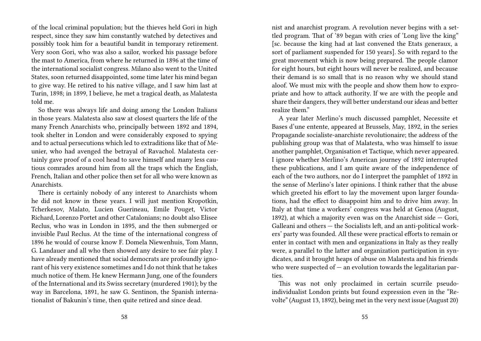of the local criminal population; but the thieves held Gori in high respect, since they saw him constantly watched by detectives and possibly took him for a beautiful bandit in temporary retirement. Very soon Gori, who was also a sailor, worked his passage before the mast to America, from where he returned in 1896 at the time of the international socialist congress. Milano also went to the United States, soon returned disappointed, some time later his mind began to give way. He retired to his native village, and I saw him last at Turin, 1898; in 1899, I believe, he met a tragical death, as Malatesta told me.

So there was always life and doing among the London Italians in those years. Malatesta also saw at closest quarters the life of the many French Anarchists who, principally between 1892 and 1894, took shelter in London and were considerably exposed to spying and to actual persecutions which led to extraditions like that of Meunier, who had avenged the betrayal of Ravachol. Malatesta certainly gave proof of a cool head to save himself and many less cautious comrades around him from all the traps which the English, French, Italian and other police then set for all who were known as Anarchists.

There is certainly nobody of any interest to Anarchists whom he did not know in these years. I will just mention Kropotkin, Tcherkesov, Malato, Lucien Guerineau, Emile Pouget, Victor Richard, Lorenzo Portet and other Catalonians; no doubt also Elisee Reclus, who was in London in 1895, and the then submerged or invisible Paul Reclus. At the time of the international congress of 1896 he would of course know F. Domela Niewenhuis, Tom Mann, G. Landauer and all who then showed any desire to see fair play. I have already mentioned that social democrats are profoundly ignorant of his very existence sometimes and I do not think that he takes much notice of them. He knew Hermann Jung, one of the founders of the International and its Swiss secretary (murdered 1901); by the way in Barcelona, 1891, he saw G. Sentinon, the Spanish internationalist of Bakunin's time, then quite retired and since dead.

nist and anarchist program. A revolution never begins with a settled program. That of '89 began with cries of 'Long live the king" [sc. because the king had at last convened the Etats generaux, a sort of parliament suspended for 150 years]. So with regard to the great movement which is now being prepared. The people clamor for eight hours, but eight hours will never be realized, and because their demand is so small that is no reason why we should stand aloof. We must mix with the people and show them how to expropriate and how to attack authority. If we are with the people and share their dangers, they will better understand our ideas and better realize them."

A year later Merlino's much discussed pamphlet, Necessite et Bases d'une entente, appeared at Brussels, May, 1892, in the series Propagande socialiste-anarchiste revolutionaire; the address of the publishing group was that of Malatesta, who was himself to issue another pamphlet, Organisation et Tactique, which never appeared. I ignore whether Merlino's American journey of 1892 interrupted these publications, and I am quite aware of the independence of each of the two authors, nor do I interpret the pamphlet of 1892 in the sense of Merlino's later opinions. I think rather that the abuse which greeted his effort to lay the movement upon larger foundations, had the effect to disappoint him and to drive him away. In Italy at that time a workers' congress was held at Genoa (August, 1892), at which a majority even was on the Anarchist side — Gori, Galleani and others — the Socialists left, and an anti-political workers' party was founded. All these were practical efforts to remain or enter in contact with men and organizations in Italy as they really were, a parallel to the latter and organization participation in syndicates, and it brought heaps of abuse on Malatesta and his friends who were suspected of  $-$  an evolution towards the legalitarian parties.

This was not only proclaimed in certain scurrile pseudoindividualist London prints but found expression even in the "Revolte" (August 13, 1892), being met in the very next issue (August 20)